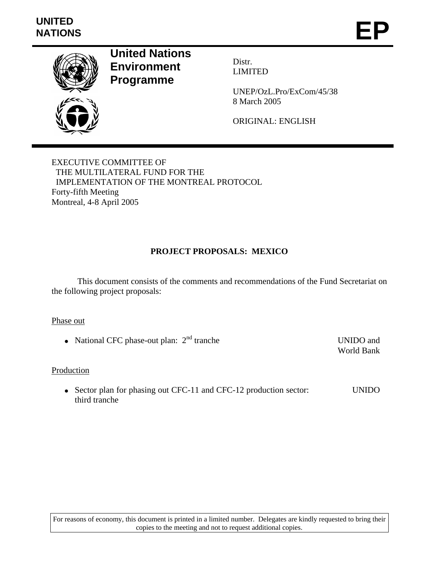

**United Nations Environment Programme** 

Distr. LIMITED

UNEP/OzL.Pro/ExCom/45/38 8 March 2005

ORIGINAL: ENGLISH

EXECUTIVE COMMITTEE OF THE MULTILATERAL FUND FOR THE IMPLEMENTATION OF THE MONTREAL PROTOCOL Forty-fifth Meeting Montreal, 4-8 April 2005

#### **PROJECT PROPOSALS: MEXICO**

 This document consists of the comments and recommendations of the Fund Secretariat on the following project proposals:

#### Phase out

• National CFC phase-out plan:  $2<sup>nd</sup>$  tranche UNIDO and

World Bank

#### Production

• Sector plan for phasing out CFC-11 and CFC-12 production sector: third tranche UNIDO

For reasons of economy, this document is printed in a limited number. Delegates are kindly requested to bring their copies to the meeting and not to request additional copies.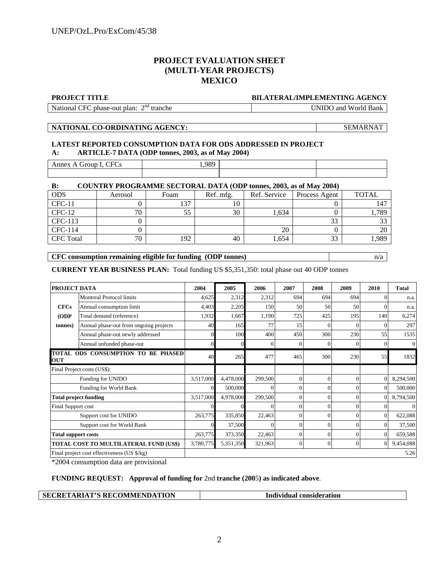#### **PROJECT EVALUATION SHEET (MULTI-YEAR PROJECTS) MEXICO**

#### **PROJECT TITLE BILATERAL/IMPLEMENTING AGENCY**

National CFC phase-out plan: 2<sup>nd</sup> tranche

UNIDO and World Bank

**NATIONAL CO-ORDINATING AGENCY:** SEMARNAT

#### **LATEST REPORTED CONSUMPTION DATA FOR ODS ADDRESSED IN PROJECT A: ARTICLE-7 DATA (ODP tonnes, 2003, as of May 2004)**

| $\cap$ F $\cap$<br>Annex<br>$ \cdots$<br>$\mathbf{L}$<br>د ب | 090 |  |
|--------------------------------------------------------------|-----|--|
|                                                              |     |  |

#### **B: COUNTRY PROGRAMME SECTORAL DATA (ODP tonnes, 2003, as of May 2004)**

| <b>ODS</b>       | Aerosol | Foam | Ref. mfg. | Ref. Service | Process Agent | <b>TOTAL</b>    |
|------------------|---------|------|-----------|--------------|---------------|-----------------|
| $CFC-11$         |         | 137  |           |              |               | 147             |
| $CFC-12$         | 70      | 55   | 30        | 1.634        |               | 1,789           |
| CFC-113          |         |      |           |              | 33            | $\Omega$<br>ر ر |
| CFC-114          |         |      |           | 20           |               | 20              |
| <b>CFC</b> Total | 70      | 192  | 40        | 1,654        | 33            | 1,989           |
|                  |         |      |           |              |               |                 |

#### **CFC consumption remaining eligible for funding (ODP tonnes)** n/a

**CURRENT YEAR BUSINESS PLAN:** Total funding US \$5,351,350: total phase out 40 ODP tonnes

| PROJECT DATA               |                                                                                                                                          | 2004      | 2005      | 2006     | 2007           | 2008     | 2009     | 2010           | <b>Total</b> |
|----------------------------|------------------------------------------------------------------------------------------------------------------------------------------|-----------|-----------|----------|----------------|----------|----------|----------------|--------------|
|                            | <b>Montreal Protocol limits</b>                                                                                                          | 4,625     | 2,312     | 2,312    | 694            | 694      | 694      | $\Omega$       | n.a.         |
| <b>CFCs</b>                | Annual consumption limit                                                                                                                 | 4,403     | 2,205     | 150      | 50             | 50       | 50       | 0              | n.a.         |
| (ODP)                      | Total demand (reference)                                                                                                                 | 1,932     | 1,667     | 1,190    | 725            | 425      | 195      | 140            | 6,274        |
| (tonnes)                   | Annual phase-out from ongoing projects                                                                                                   | 40        | 165       | 77       | 15             | $\Omega$ | $\Omega$ | $\Omega$       | 297          |
|                            | Annual phase-out newly addressed                                                                                                         |           | 100       | 400      | 450            | 300      | 230      | 55             | 1535         |
|                            | Annual unfunded phase-out                                                                                                                |           |           | $\Omega$ | $\Omega$       |          | $\Omega$ | $\Omega$       | $\Omega$     |
| <b>OUT</b>                 | TOTAL ODS CONSUMPTION TO BE PHASED                                                                                                       | 40        | 265       | 477      | 465            | 300      | 230      | 55             | 1832         |
|                            | Final Project costs (US\$):                                                                                                              |           |           |          |                |          |          |                |              |
|                            | Funding for UNIDO                                                                                                                        | 3,517,000 | 4,478,000 | 299,500  | $\Omega$       | $\Omega$ | $\Omega$ | $\Omega$       | 8,294,500    |
|                            | Funding for World Bank                                                                                                                   |           | 500,000   | $\Omega$ | $\Omega$       | 0        | $\Omega$ | $\Omega$       | 500,000      |
|                            | <b>Total project funding</b>                                                                                                             | 3,517,000 | 4,978,000 | 299,500  | $\overline{0}$ | $\Omega$ | $\Omega$ | $\overline{0}$ | 8,794,500    |
| Final Support cost         |                                                                                                                                          |           |           | $\Omega$ | $\Omega$       | 0        | $\Omega$ | $\Omega$       | 0            |
|                            | Support cost for UNIDO                                                                                                                   | 263,775   | 335,850   | 22,463   | $\Omega$       | 0        | $\Omega$ | $\Omega$       | 622,088      |
|                            | Support cost for World Bank                                                                                                              |           | 37,500    | $\Omega$ | $\Omega$       | 0        | $\Omega$ | $\Omega$       | 37,500       |
| <b>Total support costs</b> |                                                                                                                                          | 263,775   | 373,350   | 22,463   | $\Omega$       | $\Omega$ | $\Omega$ | $\Omega$       | 659,588      |
|                            | <b>TOTAL COST TO MULTILATERAL FUND (US\$)</b><br>3,780,775<br>5,351,350<br>321,963<br>$\overline{0}$<br>$\Omega$<br>$\Omega$<br>$\theta$ |           |           |          | 9,454,088      |          |          |                |              |
|                            | Final project cost effectiveness (US \$/kg)                                                                                              |           |           |          |                |          |          |                | 5.26         |

\*2004 consumption data are provisional

 $\lceil$ 

#### **FUNDING REQUEST: Approval of funding for** 2nd **tranche (200**5**) as indicated above**.

|  | <b>SECRETARIAT'S RECOMMENDATION</b> | Individual consideration |
|--|-------------------------------------|--------------------------|
|--|-------------------------------------|--------------------------|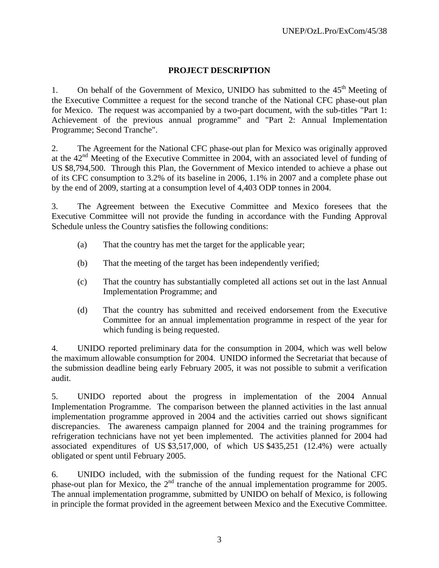#### **PROJECT DESCRIPTION**

1. On behalf of the Government of Mexico, UNIDO has submitted to the  $45<sup>th</sup>$  Meeting of the Executive Committee a request for the second tranche of the National CFC phase-out plan for Mexico. The request was accompanied by a two-part document, with the sub-titles "Part 1: Achievement of the previous annual programme" and "Part 2: Annual Implementation Programme; Second Tranche".

2. The Agreement for the National CFC phase-out plan for Mexico was originally approved at the  $42<sup>nd</sup>$  Meeting of the Executive Committee in 2004, with an associated level of funding of US \$8,794,500. Through this Plan, the Government of Mexico intended to achieve a phase out of its CFC consumption to 3.2% of its baseline in 2006, 1.1% in 2007 and a complete phase out by the end of 2009, starting at a consumption level of 4,403 ODP tonnes in 2004.

3. The Agreement between the Executive Committee and Mexico foresees that the Executive Committee will not provide the funding in accordance with the Funding Approval Schedule unless the Country satisfies the following conditions:

- (a) That the country has met the target for the applicable year;
- (b) That the meeting of the target has been independently verified;
- (c) That the country has substantially completed all actions set out in the last Annual Implementation Programme; and
- (d) That the country has submitted and received endorsement from the Executive Committee for an annual implementation programme in respect of the year for which funding is being requested.

4. UNIDO reported preliminary data for the consumption in 2004, which was well below the maximum allowable consumption for 2004. UNIDO informed the Secretariat that because of the submission deadline being early February 2005, it was not possible to submit a verification audit.

5. UNIDO reported about the progress in implementation of the 2004 Annual Implementation Programme. The comparison between the planned activities in the last annual implementation programme approved in 2004 and the activities carried out shows significant discrepancies. The awareness campaign planned for 2004 and the training programmes for refrigeration technicians have not yet been implemented. The activities planned for 2004 had associated expenditures of US \$3,517,000, of which US \$435,251 (12.4%) were actually obligated or spent until February 2005.

6. UNIDO included, with the submission of the funding request for the National CFC phase-out plan for Mexico, the 2<sup>nd</sup> tranche of the annual implementation programme for 2005. The annual implementation programme, submitted by UNIDO on behalf of Mexico, is following in principle the format provided in the agreement between Mexico and the Executive Committee.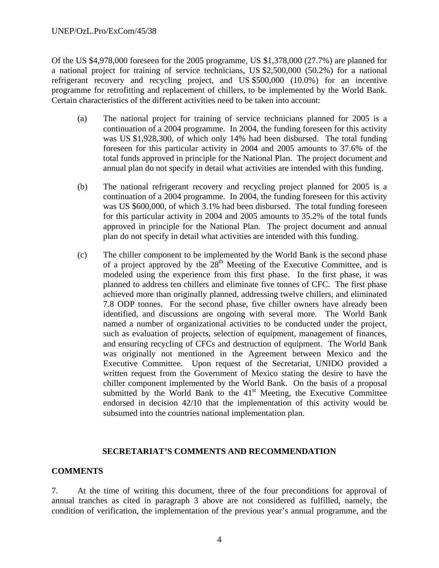#### UNEP/OzL.Pro/ExCom/45/38

Of the US \$4,978,000 foreseen for the 2005 programme, US \$1,378,000 (27.7%) are planned for a national project for training of service technicians, US \$2,500,000 (50.2%) for a national refrigerant recovery and recycling project, and US \$500,000 (10.0%) for an incentive programme for retrofitting and replacement of chillers, to be implemented by the World Bank. Certain characteristics of the different activities need to be taken into account:

- (a) The national project for training of service technicians planned for 2005 is a continuation of a 2004 programme. In 2004, the funding foreseen for this activity was US \$1,928,300, of which only 14% had been disbursed. The total funding foreseen for this particular activity in 2004 and 2005 amounts to 37.6% of the total funds approved in principle for the National Plan. The project document and annual plan do not specify in detail what activities are intended with this funding.
- (b) The national refrigerant recovery and recycling project planned for 2005 is a continuation of a 2004 programme. In 2004, the funding foreseen for this activity was US \$600,000, of which 3.1% had been disbursed. The total funding foreseen for this particular activity in 2004 and 2005 amounts to 35.2% of the total funds approved in principle for the National Plan. The project document and annual plan do not specify in detail what activities are intended with this funding.
- (c) The chiller component to be implemented by the World Bank is the second phase of a project approved by the  $28<sup>th</sup>$  Meeting of the Executive Committee, and is modeled using the experience from this first phase. In the first phase, it was planned to address ten chillers and eliminate five tonnes of CFC. The first phase achieved more than originally planned, addressing twelve chillers, and eliminated 7.8 ODP tonnes. For the second phase, five chiller owners have already been identified, and discussions are ongoing with several more. The World Bank named a number of organizational activities to be conducted under the project, such as evaluation of projects, selection of equipment, management of finances, and ensuring recycling of CFCs and destruction of equipment. The World Bank was originally not mentioned in the Agreement between Mexico and the Executive Committee. Upon request of the Secretariat, UNIDO provided a written request from the Government of Mexico stating the desire to have the chiller component implemented by the World Bank. On the basis of a proposal submitted by the World Bank to the  $41<sup>st</sup>$  Meeting, the Executive Committee endorsed in decision 42/10 that the implementation of this activity would be subsumed into the countries national implementation plan.

#### **SECRETARIAT'S COMMENTS AND RECOMMENDATION**

#### **COMMENTS**

7. At the time of writing this document, three of the four preconditions for approval of annual tranches as cited in paragraph 3 above are not considered as fulfilled, namely, the condition of verification, the implementation of the previous year's annual programme, and the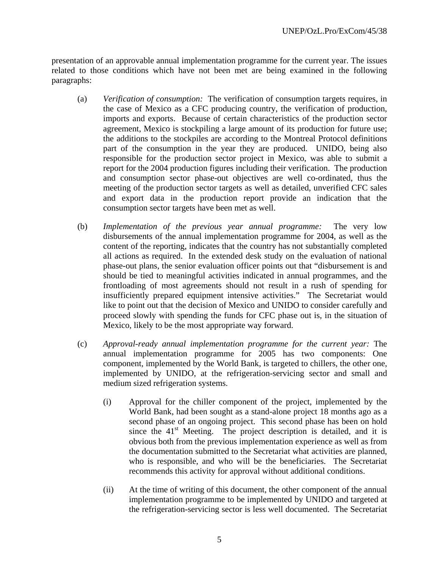presentation of an approvable annual implementation programme for the current year. The issues related to those conditions which have not been met are being examined in the following paragraphs:

- (a) *Verification of consumption:* The verification of consumption targets requires, in the case of Mexico as a CFC producing country, the verification of production, imports and exports. Because of certain characteristics of the production sector agreement, Mexico is stockpiling a large amount of its production for future use; the additions to the stockpiles are according to the Montreal Protocol definitions part of the consumption in the year they are produced. UNIDO, being also responsible for the production sector project in Mexico, was able to submit a report for the 2004 production figures including their verification. The production and consumption sector phase-out objectives are well co-ordinated, thus the meeting of the production sector targets as well as detailed, unverified CFC sales and export data in the production report provide an indication that the consumption sector targets have been met as well.
- (b) *Implementation of the previous year annual programme:* The very low disbursements of the annual implementation programme for 2004, as well as the content of the reporting, indicates that the country has not substantially completed all actions as required. In the extended desk study on the evaluation of national phase-out plans, the senior evaluation officer points out that "disbursement is and should be tied to meaningful activities indicated in annual programmes, and the frontloading of most agreements should not result in a rush of spending for insufficiently prepared equipment intensive activities." The Secretariat would like to point out that the decision of Mexico and UNIDO to consider carefully and proceed slowly with spending the funds for CFC phase out is, in the situation of Mexico, likely to be the most appropriate way forward.
- (c) *Approval-ready annual implementation programme for the current year:* The annual implementation programme for 2005 has two components: One component, implemented by the World Bank, is targeted to chillers, the other one, implemented by UNIDO, at the refrigeration-servicing sector and small and medium sized refrigeration systems.
	- (i) Approval for the chiller component of the project, implemented by the World Bank, had been sought as a stand-alone project 18 months ago as a second phase of an ongoing project. This second phase has been on hold since the  $41<sup>st</sup>$  Meeting. The project description is detailed, and it is obvious both from the previous implementation experience as well as from the documentation submitted to the Secretariat what activities are planned, who is responsible, and who will be the beneficiaries. The Secretariat recommends this activity for approval without additional conditions.
	- (ii) At the time of writing of this document, the other component of the annual implementation programme to be implemented by UNIDO and targeted at the refrigeration-servicing sector is less well documented. The Secretariat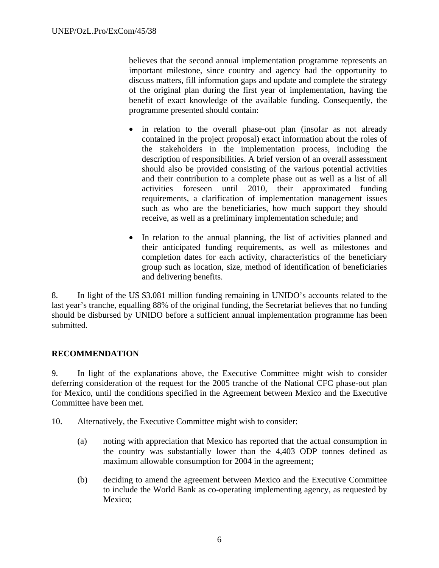believes that the second annual implementation programme represents an important milestone, since country and agency had the opportunity to discuss matters, fill information gaps and update and complete the strategy of the original plan during the first year of implementation, having the benefit of exact knowledge of the available funding. Consequently, the programme presented should contain:

- in relation to the overall phase-out plan (insofar as not already contained in the project proposal) exact information about the roles of the stakeholders in the implementation process, including the description of responsibilities. A brief version of an overall assessment should also be provided consisting of the various potential activities and their contribution to a complete phase out as well as a list of all activities foreseen until 2010, their approximated funding requirements, a clarification of implementation management issues such as who are the beneficiaries, how much support they should receive, as well as a preliminary implementation schedule; and
- In relation to the annual planning, the list of activities planned and their anticipated funding requirements, as well as milestones and completion dates for each activity, characteristics of the beneficiary group such as location, size, method of identification of beneficiaries and delivering benefits.

8. In light of the US \$3.081 million funding remaining in UNIDO's accounts related to the last year's tranche, equalling 88% of the original funding, the Secretariat believes that no funding should be disbursed by UNIDO before a sufficient annual implementation programme has been submitted.

#### **RECOMMENDATION**

9. In light of the explanations above, the Executive Committee might wish to consider deferring consideration of the request for the 2005 tranche of the National CFC phase-out plan for Mexico, until the conditions specified in the Agreement between Mexico and the Executive Committee have been met.

- 10. Alternatively, the Executive Committee might wish to consider:
	- (a) noting with appreciation that Mexico has reported that the actual consumption in the country was substantially lower than the 4,403 ODP tonnes defined as maximum allowable consumption for 2004 in the agreement;
	- (b) deciding to amend the agreement between Mexico and the Executive Committee to include the World Bank as co-operating implementing agency, as requested by Mexico;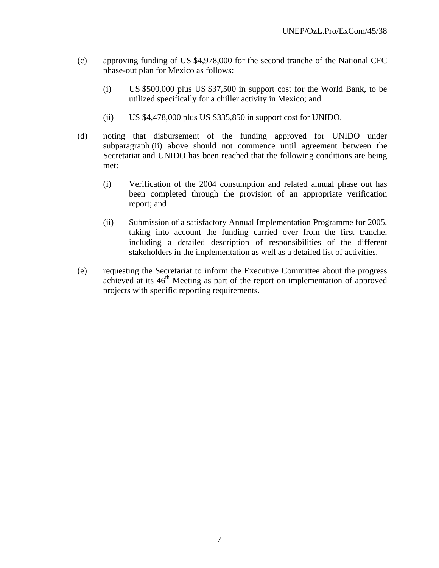- (c) approving funding of US \$4,978,000 for the second tranche of the National CFC phase-out plan for Mexico as follows:
	- (i) US \$500,000 plus US \$37,500 in support cost for the World Bank, to be utilized specifically for a chiller activity in Mexico; and
	- (ii) US \$4,478,000 plus US \$335,850 in support cost for UNIDO.
- (d) noting that disbursement of the funding approved for UNIDO under subparagraph (ii) above should not commence until agreement between the Secretariat and UNIDO has been reached that the following conditions are being met:
	- (i) Verification of the 2004 consumption and related annual phase out has been completed through the provision of an appropriate verification report; and
	- (ii) Submission of a satisfactory Annual Implementation Programme for 2005, taking into account the funding carried over from the first tranche, including a detailed description of responsibilities of the different stakeholders in the implementation as well as a detailed list of activities.
- (e) requesting the Secretariat to inform the Executive Committee about the progress achieved at its  $46<sup>th</sup>$  Meeting as part of the report on implementation of approved projects with specific reporting requirements.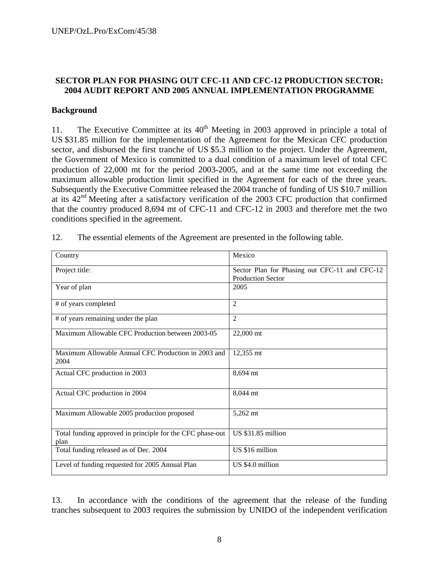#### **SECTOR PLAN FOR PHASING OUT CFC-11 AND CFC-12 PRODUCTION SECTOR: 2004 AUDIT REPORT AND 2005 ANNUAL IMPLEMENTATION PROGRAMME**

#### **Background**

11. The Executive Committee at its  $40<sup>th</sup>$  Meeting in 2003 approved in principle a total of US \$31.85 million for the implementation of the Agreement for the Mexican CFC production sector, and disbursed the first tranche of US \$5.3 million to the project. Under the Agreement, the Government of Mexico is committed to a dual condition of a maximum level of total CFC production of 22,000 mt for the period 2003-2005, and at the same time not exceeding the maximum allowable production limit specified in the Agreement for each of the three years. Subsequently the Executive Committee released the 2004 tranche of funding of US \$10.7 million at its  $42<sup>nd</sup>$  Meeting after a satisfactory verification of the 2003 CFC production that confirmed that the country produced 8,694 mt of CFC-11 and CFC-12 in 2003 and therefore met the two conditions specified in the agreement.

| Country                                                           | Mexico                                                                    |
|-------------------------------------------------------------------|---------------------------------------------------------------------------|
| Project title:                                                    | Sector Plan for Phasing out CFC-11 and CFC-12<br><b>Production Sector</b> |
| Year of plan                                                      | 2005                                                                      |
| # of years completed                                              | $\overline{2}$                                                            |
| # of years remaining under the plan                               | 2                                                                         |
| Maximum Allowable CFC Production between 2003-05                  | 22,000 mt                                                                 |
| Maximum Allowable Annual CFC Production in 2003 and<br>2004       | 12,355 mt                                                                 |
| Actual CFC production in 2003                                     | 8,694 mt                                                                  |
| Actual CFC production in 2004                                     | 8,044 mt                                                                  |
| Maximum Allowable 2005 production proposed                        | 5,262 mt                                                                  |
| Total funding approved in principle for the CFC phase-out<br>plan | <b>US \$31.85 million</b>                                                 |
| Total funding released as of Dec. 2004                            | US \$16 million                                                           |
| Level of funding requested for 2005 Annual Plan                   | US \$4.0 million                                                          |

12. The essential elements of the Agreement are presented in the following table.

13. In accordance with the conditions of the agreement that the release of the funding tranches subsequent to 2003 requires the submission by UNIDO of the independent verification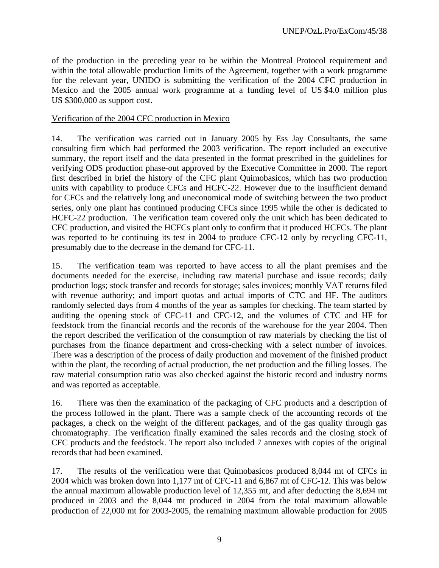of the production in the preceding year to be within the Montreal Protocol requirement and within the total allowable production limits of the Agreement, together with a work programme for the relevant year, UNIDO is submitting the verification of the 2004 CFC production in Mexico and the 2005 annual work programme at a funding level of US \$4.0 million plus US \$300,000 as support cost.

#### Verification of the 2004 CFC production in Mexico

14. The verification was carried out in January 2005 by Ess Jay Consultants, the same consulting firm which had performed the 2003 verification. The report included an executive summary, the report itself and the data presented in the format prescribed in the guidelines for verifying ODS production phase-out approved by the Executive Committee in 2000. The report first described in brief the history of the CFC plant Quimobasicos, which has two production units with capability to produce CFCs and HCFC-22. However due to the insufficient demand for CFCs and the relatively long and uneconomical mode of switching between the two product series, only one plant has continued producing CFCs since 1995 while the other is dedicated to HCFC-22 production. The verification team covered only the unit which has been dedicated to CFC production, and visited the HCFCs plant only to confirm that it produced HCFCs. The plant was reported to be continuing its test in 2004 to produce CFC-12 only by recycling CFC-11, presumably due to the decrease in the demand for CFC-11.

15. The verification team was reported to have access to all the plant premises and the documents needed for the exercise, including raw material purchase and issue records; daily production logs; stock transfer and records for storage; sales invoices; monthly VAT returns filed with revenue authority; and import quotas and actual imports of CTC and HF. The auditors randomly selected days from 4 months of the year as samples for checking. The team started by auditing the opening stock of CFC-11 and CFC-12, and the volumes of CTC and HF for feedstock from the financial records and the records of the warehouse for the year 2004. Then the report described the verification of the consumption of raw materials by checking the list of purchases from the finance department and cross-checking with a select number of invoices. There was a description of the process of daily production and movement of the finished product within the plant, the recording of actual production, the net production and the filling losses. The raw material consumption ratio was also checked against the historic record and industry norms and was reported as acceptable.

16. There was then the examination of the packaging of CFC products and a description of the process followed in the plant. There was a sample check of the accounting records of the packages, a check on the weight of the different packages, and of the gas quality through gas chromatography. The verification finally examined the sales records and the closing stock of CFC products and the feedstock. The report also included 7 annexes with copies of the original records that had been examined.

17. The results of the verification were that Quimobasicos produced 8,044 mt of CFCs in 2004 which was broken down into 1,177 mt of CFC-11 and 6,867 mt of CFC-12. This was below the annual maximum allowable production level of 12,355 mt, and after deducting the 8,694 mt produced in 2003 and the 8,044 mt produced in 2004 from the total maximum allowable production of 22,000 mt for 2003-2005, the remaining maximum allowable production for 2005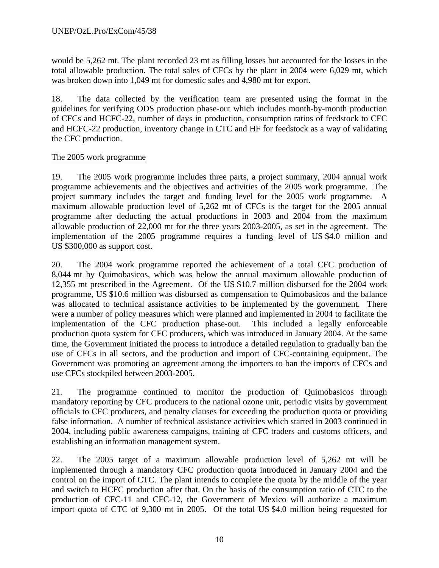would be 5,262 mt. The plant recorded 23 mt as filling losses but accounted for the losses in the total allowable production. The total sales of CFCs by the plant in 2004 were 6,029 mt, which was broken down into 1,049 mt for domestic sales and 4,980 mt for export.

18. The data collected by the verification team are presented using the format in the guidelines for verifying ODS production phase-out which includes month-by-month production of CFCs and HCFC-22, number of days in production, consumption ratios of feedstock to CFC and HCFC-22 production, inventory change in CTC and HF for feedstock as a way of validating the CFC production.

#### The 2005 work programme

19. The 2005 work programme includes three parts, a project summary, 2004 annual work programme achievements and the objectives and activities of the 2005 work programme. The project summary includes the target and funding level for the 2005 work programme. A maximum allowable production level of 5,262 mt of CFCs is the target for the 2005 annual programme after deducting the actual productions in 2003 and 2004 from the maximum allowable production of 22,000 mt for the three years 2003-2005, as set in the agreement. The implementation of the 2005 programme requires a funding level of US \$4.0 million and US \$300,000 as support cost.

20. The 2004 work programme reported the achievement of a total CFC production of 8,044 mt by Quimobasicos, which was below the annual maximum allowable production of 12,355 mt prescribed in the Agreement. Of the US \$10.7 million disbursed for the 2004 work programme, US \$10.6 million was disbursed as compensation to Quimobasicos and the balance was allocated to technical assistance activities to be implemented by the government. There were a number of policy measures which were planned and implemented in 2004 to facilitate the implementation of the CFC production phase-out. This included a legally enforceable production quota system for CFC producers, which was introduced in January 2004. At the same time, the Government initiated the process to introduce a detailed regulation to gradually ban the use of CFCs in all sectors, and the production and import of CFC-containing equipment. The Government was promoting an agreement among the importers to ban the imports of CFCs and use CFCs stockpiled between 2003-2005.

21. The programme continued to monitor the production of Quimobasicos through mandatory reporting by CFC producers to the national ozone unit, periodic visits by government officials to CFC producers, and penalty clauses for exceeding the production quota or providing false information. A number of technical assistance activities which started in 2003 continued in 2004, including public awareness campaigns, training of CFC traders and customs officers, and establishing an information management system.

22. The 2005 target of a maximum allowable production level of 5,262 mt will be implemented through a mandatory CFC production quota introduced in January 2004 and the control on the import of CTC. The plant intends to complete the quota by the middle of the year and switch to HCFC production after that. On the basis of the consumption ratio of CTC to the production of CFC-11 and CFC-12, the Government of Mexico will authorize a maximum import quota of CTC of 9,300 mt in 2005. Of the total US \$4.0 million being requested for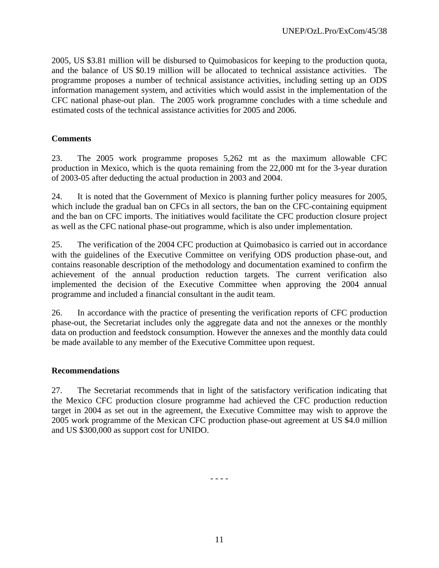2005, US \$3.81 million will be disbursed to Quimobasicos for keeping to the production quota, and the balance of US \$0.19 million will be allocated to technical assistance activities. The programme proposes a number of technical assistance activities, including setting up an ODS information management system, and activities which would assist in the implementation of the CFC national phase-out plan. The 2005 work programme concludes with a time schedule and estimated costs of the technical assistance activities for 2005 and 2006.

#### **Comments**

23. The 2005 work programme proposes 5,262 mt as the maximum allowable CFC production in Mexico, which is the quota remaining from the 22,000 mt for the 3-year duration of 2003-05 after deducting the actual production in 2003 and 2004.

24. It is noted that the Government of Mexico is planning further policy measures for 2005, which include the gradual ban on CFCs in all sectors, the ban on the CFC-containing equipment and the ban on CFC imports. The initiatives would facilitate the CFC production closure project as well as the CFC national phase-out programme, which is also under implementation.

25. The verification of the 2004 CFC production at Quimobasico is carried out in accordance with the guidelines of the Executive Committee on verifying ODS production phase-out, and contains reasonable description of the methodology and documentation examined to confirm the achievement of the annual production reduction targets. The current verification also implemented the decision of the Executive Committee when approving the 2004 annual programme and included a financial consultant in the audit team.

26. In accordance with the practice of presenting the verification reports of CFC production phase-out, the Secretariat includes only the aggregate data and not the annexes or the monthly data on production and feedstock consumption. However the annexes and the monthly data could be made available to any member of the Executive Committee upon request.

#### **Recommendations**

27. The Secretariat recommends that in light of the satisfactory verification indicating that the Mexico CFC production closure programme had achieved the CFC production reduction target in 2004 as set out in the agreement, the Executive Committee may wish to approve the 2005 work programme of the Mexican CFC production phase-out agreement at US \$4.0 million and US \$300,000 as support cost for UNIDO.

- - - -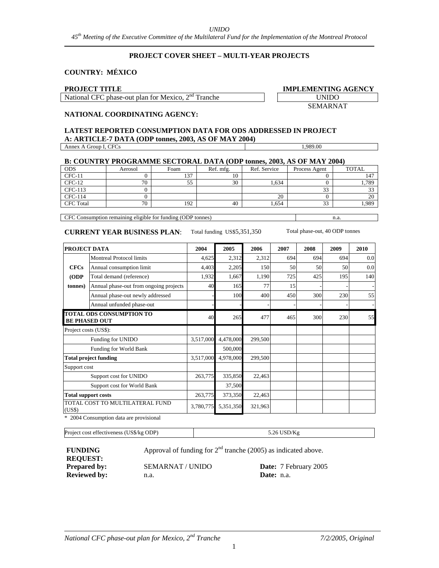#### *UNIDO*

*45th Meeting of the Executive Committee of the Multilateral Fund for the Implementation of the Montreal Protocol* 

#### **PROJECT COVER SHEET – MULTI-YEAR PROJECTS**

#### **COUNTRY: MÉXICO**

#### **PROJECT TITLE**

National CFC phase-out plan for Mexico, 2<sup>nd</sup> Tranche

| IMPLEMENTING AGENCY |  |
|---------------------|--|
| <b>UNIDO</b>        |  |

SEMARNAT

#### **NATIONAL COORDINATING AGENCY:**

#### **LATEST REPORTED CONSUMPTION DATA FOR ODS ADDRESSED IN PROJECT A: ARTICLE-7 DATA (ODP tonnes, 2003, AS OF MAY 2004)**  Annex A Group I, CFCs 1,989.00

| <b>B: COUNTRY PROGRAMME SECTORAL DATA (ODP tonnes, 2003, AS OF MAY 2004)</b> |         |      |           |              |               |              |  |  |  |
|------------------------------------------------------------------------------|---------|------|-----------|--------------|---------------|--------------|--|--|--|
| <b>ODS</b>                                                                   | Aerosol | Foam | Ref. mfg. | Ref. Service | Process Agent | <b>TOTAL</b> |  |  |  |
| $CFC-11$                                                                     |         | 137  |           |              |               |              |  |  |  |
| $CFC-12$                                                                     | 70      | 55   | 30        | 1.634        |               | 1,789        |  |  |  |
| CFC-113                                                                      |         |      |           |              | 33            |              |  |  |  |
| CFC-114                                                                      |         |      |           | 20           |               | 20           |  |  |  |
| <b>CFC</b> Total                                                             | 70      | 192  | 40        | 1.654        | 33            | .989         |  |  |  |
|                                                                              |         |      |           |              |               |              |  |  |  |

CFC Consumption remaining eligible for funding (ODP tonnes) n.a.

#### **CURRENT YEAR BUSINESS PLAN**: Total funding US\$5,351,350 Total phase-out, 40 ODP tonnes

| <b>PROJECT DATA</b>        |                                                         | 2004      | 2005      | 2006    | 2007 | 2008 | 2009 | 2010 |
|----------------------------|---------------------------------------------------------|-----------|-----------|---------|------|------|------|------|
|                            | <b>Montreal Protocol limits</b>                         | 4,625     | 2,312     | 2,312   | 694  | 694  | 694  | 0.0  |
| <b>CFCs</b>                | Annual consumption limit                                | 4,403     | 2,205     | 150     | 50   | 50   | 50   | 0.0  |
| (ODP                       | Total demand (reference)                                | 1,932     | 1,667     | 1,190   | 725  | 425  | 195  | 140  |
| tonnes)                    | Annual phase-out from ongoing projects                  | 40        | 165       | 77      | 15   |      |      |      |
|                            | Annual phase-out newly addressed                        |           | 100       | 400     | 450  | 300  | 230  | 55   |
|                            | Annual unfunded phase-out                               |           |           |         |      |      |      |      |
|                            | <b>TOTAL ODS CONSUMPTION TO</b><br><b>BE PHASED OUT</b> | 40        | 265       | 477     | 465  | 300  | 230  | 55   |
| Project costs (US\$):      |                                                         |           |           |         |      |      |      |      |
|                            | Funding for UNIDO                                       | 3,517,000 | 4,478,000 | 299,500 |      |      |      |      |
|                            | Funding for World Bank                                  |           | 500,000   |         |      |      |      |      |
|                            | <b>Total project funding</b>                            | 3,517,000 | 4,978,000 | 299,500 |      |      |      |      |
| Support cost               |                                                         |           |           |         |      |      |      |      |
|                            | Support cost for UNIDO                                  | 263,775   | 335,850   | 22,463  |      |      |      |      |
|                            | Support cost for World Bank                             |           | 37,500    |         |      |      |      |      |
| <b>Total support costs</b> |                                                         | 263,775   | 373,350   | 22,463  |      |      |      |      |
| (US\$)                     | TOTAL COST TO MULTILATERAL FUND                         | 3,780,775 | 5,351,350 | 321,963 |      |      |      |      |

\* 2004 Consumption data are provisional

Project cost effectiveness (US\$/kg ODP) 5.26 USD/Kg

**FUNDING REQUEST: Reviewed by:** n.a.

**Prepared by: SEMARNAT / UNIDO Date:** 7 February 2005<br> **Reviewed by: Date: Date: Date: Date: Date: Date: Date: Date: Date: Date: Date: Date: Date: Date: Date: Date: Date: Date: Dat** 

Approval of funding for  $2<sup>nd</sup>$  tranche (2005) as indicated above.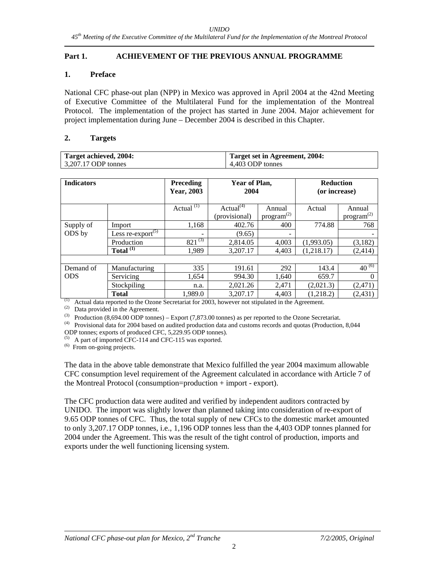#### **Part 1. ACHIEVEMENT OF THE PREVIOUS ANNUAL PROGRAMME**

#### **1. Preface**

National CFC phase-out plan (NPP) in Mexico was approved in April 2004 at the 42nd Meeting of Executive Committee of the Multilateral Fund for the implementation of the Montreal Protocol. The implementation of the project has started in June 2004. Major achievement for project implementation during June – December 2004 is described in this Chapter.

#### **2. Targets**

| Target achieved, 2004: | Target set in Agreement, 2004: |
|------------------------|--------------------------------|
| $3,207.17$ ODP tonnes  | 4.403 ODP tonnes               |

| <b>Indicators</b> |                                            | <b>Preceding</b><br>Year, 2003 | Year of Plan,<br>2004 |                        | <b>Reduction</b><br>(or increase) |                        |
|-------------------|--------------------------------------------|--------------------------------|-----------------------|------------------------|-----------------------------------|------------------------|
|                   |                                            | Actual $(1)$                   | Actual $(4)$          | Annual                 | Actual                            | Annual                 |
|                   |                                            |                                | (provisional)         | $\text{program}^{(2)}$ |                                   | program <sup>(2)</sup> |
| Supply of         | Import                                     | 1,168                          | 402.76                | 400                    | 774.88                            | 768                    |
| ODS by            | Less re-export <sup><math>(5)</math></sup> |                                | (9.65)                |                        |                                   |                        |
|                   | Production                                 | $821^{(3)}$                    | 2,814.05              | 4,003                  | (1,993.05)                        | (3,182)                |
|                   | Total $(1)$                                | 1.989                          | 3.207.17              | 4,403                  | (1,218.17)                        | (2,414)                |
|                   |                                            |                                |                       |                        |                                   |                        |
| Demand of         | Manufacturing                              | 335                            | 191.61                | 292                    | 143.4                             | $40^{(6)}$             |
| <b>ODS</b>        | Servicing                                  | 1.654                          | 994.30                | 1,640                  | 659.7                             | 0                      |
|                   | Stockpiling                                | n.a.                           | 2,021.26              | 2,471                  | (2,021.3)                         | (2,471)                |
|                   | <b>Total</b>                               | 1,989.0                        | 3.207.17              | 4,403                  | (1,218.2)                         | (2,431)                |

 $<sup>(1)</sup>$  Actual data reported to the Ozone Secretariat for 2003, however not stipulated in the Agreement.</sup>

(2) Data provided in the Agreement.<br>
(3) Production  $(8,694.00 \text{ ODP}$  tonnes) – Export  $(7,873.00 \text{ tonnes})$  as per reported to the Ozone Secretariat.

 $(4)$  Provisional data for 2004 based on audited production data and customs records and quotas (Production, 8,044 ODP tonnes; exports of produced CFC, 5,229.95 ODP tonnes).

 $(5)$  A part of imported CFC-114 and CFC-115 was exported.

(6) From on-going projects.

The data in the above table demonstrate that Mexico fulfilled the year 2004 maximum allowable CFC consumption level requirement of the Agreement calculated in accordance with Article 7 of the Montreal Protocol (consumption=production + import - export).

The CFC production data were audited and verified by independent auditors contracted by UNIDO. The import was slightly lower than planned taking into consideration of re-export of 9.65 ODP tonnes of CFC. Thus, the total supply of new CFCs to the domestic market amounted to only 3,207.17 ODP tonnes, i.e., 1,196 ODP tonnes less than the 4,403 ODP tonnes planned for 2004 under the Agreement. This was the result of the tight control of production, imports and exports under the well functioning licensing system.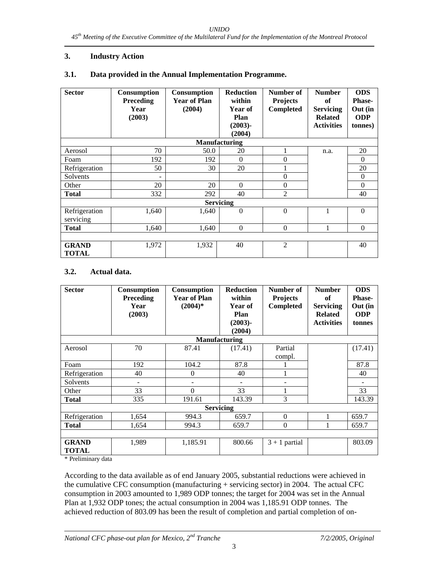#### **3. Industry Action**

| 3.1. |  | Data provided in the Annual Implementation Programme. |
|------|--|-------------------------------------------------------|
|------|--|-------------------------------------------------------|

| <b>Sector</b>                | Consumption<br><b>Preceding</b><br>Year<br>(2003) | <b>Consumption</b><br><b>Year of Plan</b><br>(2004) | <b>Reduction</b><br>within<br>Year of<br>Plan<br>$(2003)$ -<br>(2004) | Number of<br><b>Projects</b><br>Completed | <b>Number</b><br>of<br><b>Servicing</b><br><b>Related</b><br><b>Activities</b> | <b>ODS</b><br><b>Phase-</b><br>Out (in<br><b>ODP</b><br>tonnes) |
|------------------------------|---------------------------------------------------|-----------------------------------------------------|-----------------------------------------------------------------------|-------------------------------------------|--------------------------------------------------------------------------------|-----------------------------------------------------------------|
|                              |                                                   |                                                     | Manufacturing                                                         |                                           |                                                                                |                                                                 |
| Aerosol                      | 70                                                | 50.0                                                | 20                                                                    | 1                                         | n.a.                                                                           | 20                                                              |
| Foam                         | 192                                               | 192                                                 | $\theta$                                                              | $\theta$                                  |                                                                                | $\Omega$                                                        |
| Refrigeration                | 50                                                | 30                                                  | 20                                                                    |                                           |                                                                                | 20                                                              |
| Solvents                     |                                                   |                                                     |                                                                       | $\theta$                                  |                                                                                | $\theta$                                                        |
| Other                        | 20                                                | 20                                                  | $\Omega$                                                              | $\Omega$                                  |                                                                                | $\Omega$                                                        |
| <b>Total</b>                 | 332                                               | 292                                                 | 40                                                                    | $\overline{2}$                            |                                                                                | 40                                                              |
|                              |                                                   |                                                     | <b>Servicing</b>                                                      |                                           |                                                                                |                                                                 |
| Refrigeration<br>servicing   | 1,640                                             | 1,640                                               | $\mathbf{0}$                                                          | $\theta$                                  | 1                                                                              | $\theta$                                                        |
| <b>Total</b>                 | 1,640                                             | 1,640                                               | $\mathbf{0}$                                                          | $\theta$                                  | 1                                                                              | $\Omega$                                                        |
|                              |                                                   |                                                     |                                                                       |                                           |                                                                                |                                                                 |
| <b>GRAND</b><br><b>TOTAL</b> | 1,972                                             | 1,932                                               | 40                                                                    | $\overline{2}$                            |                                                                                | 40                                                              |

#### **3.2. Actual data.**

| <b>Sector</b>                | <b>Consumption</b><br><b>Preceding</b><br>Year<br>(2003) | Consumption<br><b>Year of Plan</b><br>$(2004)*$ | <b>Reduction</b><br>within<br>Year of<br>Plan<br>$(2003) -$<br>(2004) | Number of<br><b>Projects</b><br>Completed | <b>Number</b><br><b>of</b><br><b>Servicing</b><br><b>Related</b><br><b>Activities</b> | <b>ODS</b><br><b>Phase-</b><br>Out (in<br><b>ODP</b><br>tonnes |
|------------------------------|----------------------------------------------------------|-------------------------------------------------|-----------------------------------------------------------------------|-------------------------------------------|---------------------------------------------------------------------------------------|----------------------------------------------------------------|
|                              |                                                          |                                                 | <b>Manufacturing</b>                                                  |                                           |                                                                                       |                                                                |
| Aerosol                      | 70                                                       | 87.41                                           | (17.41)                                                               | Partial                                   |                                                                                       | (17.41)                                                        |
|                              |                                                          |                                                 |                                                                       | compl.                                    |                                                                                       |                                                                |
| Foam                         | 192                                                      | 104.2                                           | 87.8                                                                  |                                           |                                                                                       | 87.8                                                           |
| Refrigeration                | 40                                                       | 0                                               | 40                                                                    |                                           |                                                                                       | 40                                                             |
| Solvents                     | -                                                        |                                                 |                                                                       |                                           |                                                                                       |                                                                |
| Other                        | 33                                                       | $\theta$                                        | 33                                                                    | 1                                         |                                                                                       | 33                                                             |
| <b>Total</b>                 | 335                                                      | 191.61                                          | 143.39                                                                | 3                                         |                                                                                       | 143.39                                                         |
|                              |                                                          |                                                 | <b>Servicing</b>                                                      |                                           |                                                                                       |                                                                |
| Refrigeration                | 1,654                                                    | 994.3                                           | 659.7                                                                 | $\Omega$                                  |                                                                                       | 659.7                                                          |
| <b>Total</b>                 | 1,654                                                    | 994.3                                           | 659.7                                                                 | $\theta$                                  |                                                                                       | 659.7                                                          |
|                              |                                                          |                                                 |                                                                       |                                           |                                                                                       |                                                                |
| <b>GRAND</b><br><b>TOTAL</b> | 1,989                                                    | 1,185.91                                        | 800.66                                                                | $3 + 1$ partial                           |                                                                                       | 803.09                                                         |

\* Preliminary data

According to the data available as of end January 2005, substantial reductions were achieved in the cumulative CFC consumption (manufacturing + servicing sector) in 2004. The actual CFC consumption in 2003 amounted to 1,989 ODP tonnes; the target for 2004 was set in the Annual Plan at 1,932 ODP tones; the actual consumption in 2004 was 1,185.91 ODP tonnes. The achieved reduction of 803.09 has been the result of completion and partial completion of on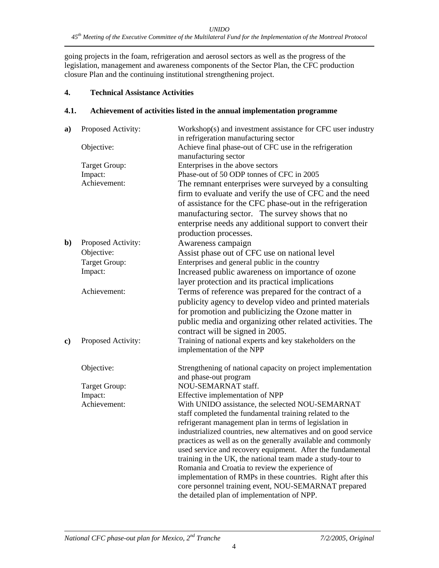going projects in the foam, refrigeration and aerosol sectors as well as the progress of the legislation, management and awareness components of the Sector Plan, the CFC production closure Plan and the continuing institutional strengthening project.

#### **4. Technical Assistance Activities**

#### **4.1. Achievement of activities listed in the annual implementation programme**

| a) | Proposed Activity:              | Workshop(s) and investment assistance for CFC user industry                                                                                                                                                                       |
|----|---------------------------------|-----------------------------------------------------------------------------------------------------------------------------------------------------------------------------------------------------------------------------------|
|    | Objective:                      | in refrigeration manufacturing sector<br>Achieve final phase-out of CFC use in the refrigeration                                                                                                                                  |
|    |                                 | manufacturing sector                                                                                                                                                                                                              |
|    | Target Group:<br>Impact:        | Enterprises in the above sectors<br>Phase-out of 50 ODP tonnes of CFC in 2005                                                                                                                                                     |
|    | Achievement:                    | The remnant enterprises were surveyed by a consulting                                                                                                                                                                             |
|    |                                 | firm to evaluate and verify the use of CFC and the need<br>of assistance for the CFC phase-out in the refrigeration<br>manufacturing sector. The survey shows that no<br>enterprise needs any additional support to convert their |
|    |                                 | production processes.                                                                                                                                                                                                             |
|    |                                 |                                                                                                                                                                                                                                   |
| b) | Proposed Activity:              | Awareness campaign                                                                                                                                                                                                                |
|    | Objective:                      | Assist phase out of CFC use on national level                                                                                                                                                                                     |
|    | <b>Target Group:</b><br>Impact: | Enterprises and general public in the country                                                                                                                                                                                     |
|    |                                 | Increased public awareness on importance of ozone                                                                                                                                                                                 |
|    |                                 | layer protection and its practical implications                                                                                                                                                                                   |
|    | Achievement:                    | Terms of reference was prepared for the contract of a                                                                                                                                                                             |
|    |                                 | publicity agency to develop video and printed materials                                                                                                                                                                           |
|    |                                 | for promotion and publicizing the Ozone matter in                                                                                                                                                                                 |
|    |                                 | public media and organizing other related activities. The                                                                                                                                                                         |
|    |                                 | contract will be signed in 2005.                                                                                                                                                                                                  |
| c) | Proposed Activity:              | Training of national experts and key stakeholders on the                                                                                                                                                                          |
|    |                                 | implementation of the NPP                                                                                                                                                                                                         |
|    | Objective:                      | Strengthening of national capacity on project implementation<br>and phase-out program                                                                                                                                             |
|    | Target Group:                   | NOU-SEMARNAT staff.                                                                                                                                                                                                               |
|    | Impact:                         | Effective implementation of NPP                                                                                                                                                                                                   |
|    | Achievement:                    | With UNIDO assistance, the selected NOU-SEMARNAT                                                                                                                                                                                  |
|    |                                 | staff completed the fundamental training related to the                                                                                                                                                                           |
|    |                                 | refrigerant management plan in terms of legislation in                                                                                                                                                                            |
|    |                                 | industrialized countries, new alternatives and on good service                                                                                                                                                                    |
|    |                                 | practices as well as on the generally available and commonly                                                                                                                                                                      |
|    |                                 | used service and recovery equipment. After the fundamental                                                                                                                                                                        |
|    |                                 | training in the UK, the national team made a study-tour to                                                                                                                                                                        |
|    |                                 | Romania and Croatia to review the experience of                                                                                                                                                                                   |
|    |                                 | implementation of RMPs in these countries. Right after this                                                                                                                                                                       |
|    |                                 | core personnel training event, NOU-SEMARNAT prepared                                                                                                                                                                              |
|    |                                 | the detailed plan of implementation of NPP.                                                                                                                                                                                       |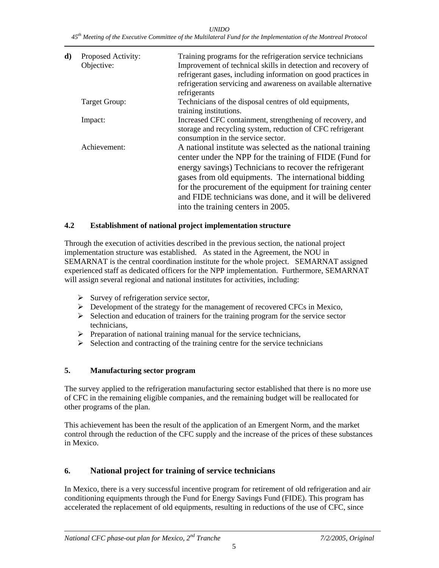*UNIDO 45th Meeting of the Executive Committee of the Multilateral Fund for the Implementation of the Montreal Protocol* 

| d) | Proposed Activity:<br>Objective: | Training programs for the refrigeration service technicians<br>Improvement of technical skills in detection and recovery of<br>refrigerant gases, including information on good practices in<br>refrigeration servicing and awareness on available alternative<br>refrigerants                                                                                                                       |
|----|----------------------------------|------------------------------------------------------------------------------------------------------------------------------------------------------------------------------------------------------------------------------------------------------------------------------------------------------------------------------------------------------------------------------------------------------|
|    | Target Group:                    | Technicians of the disposal centres of old equipments,<br>training institutions.                                                                                                                                                                                                                                                                                                                     |
|    | Impact:                          | Increased CFC containment, strengthening of recovery, and<br>storage and recycling system, reduction of CFC refrigerant<br>consumption in the service sector.                                                                                                                                                                                                                                        |
|    | Achievement:                     | A national institute was selected as the national training<br>center under the NPP for the training of FIDE (Fund for<br>energy savings) Technicians to recover the refrigerant<br>gases from old equipments. The international bidding<br>for the procurement of the equipment for training center<br>and FIDE technicians was done, and it will be delivered<br>into the training centers in 2005. |

#### **4.2 Establishment of national project implementation structure**

Through the execution of activities described in the previous section, the national project implementation structure was established. As stated in the Agreement, the NOU in SEMARNAT is the central coordination institute for the whole project. SEMARNAT assigned experienced staff as dedicated officers for the NPP implementation. Furthermore, SEMARNAT will assign several regional and national institutes for activities, including:

- $\triangleright$  Survey of refrigeration service sector,
- ¾ Development of the strategy for the management of recovered CFCs in Mexico,
- $\triangleright$  Selection and education of trainers for the training program for the service sector technicians,
- $\triangleright$  Preparation of national training manual for the service technicians,
- $\triangleright$  Selection and contracting of the training centre for the service technicians

#### **5. Manufacturing sector program**

The survey applied to the refrigeration manufacturing sector established that there is no more use of CFC in the remaining eligible companies, and the remaining budget will be reallocated for other programs of the plan.

This achievement has been the result of the application of an Emergent Norm, and the market control through the reduction of the CFC supply and the increase of the prices of these substances in Mexico.

#### **6. National project for training of service technicians**

In Mexico, there is a very successful incentive program for retirement of old refrigeration and air conditioning equipments through the Fund for Energy Savings Fund (FIDE). This program has accelerated the replacement of old equipments, resulting in reductions of the use of CFC, since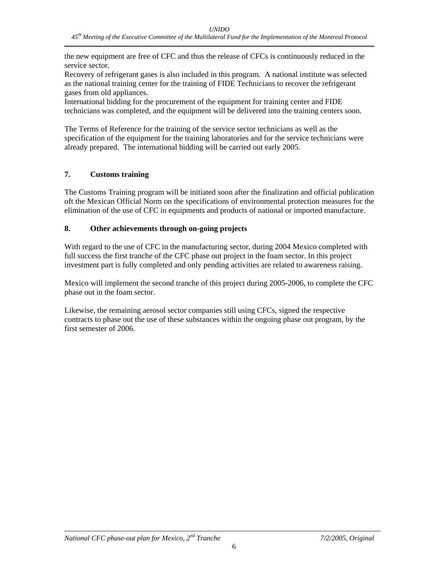the new equipment are free of CFC and thus the release of CFCs is continuously reduced in the service sector.

Recovery of refrigerant gases is also included in this program. A national institute was selected as the national training center for the training of FIDE Technicians to recover the refrigerant gases from old appliances.

International bidding for the procurement of the equipment for training center and FIDE technicians was completed, and the equipment will be delivered into the training centers soon.

The Terms of Reference for the training of the service sector technicians as well as the specification of the equipment for the training laboratories and for the service technicians were already prepared. The international bidding will be carried out early 2005.

#### **7. Customs training**

The Customs Training program will be initiated soon after the finalization and official publication oft the Mexican Official Norm on the specifications of environmental protection measures for the elimination of the use of CFC in equipments and products of national or imported manufacture.

#### **8. Other achievements through on-going projects**

With regard to the use of CFC in the manufacturing sector, during 2004 Mexico completed with full success the first tranche of the CFC phase out project in the foam sector. In this project investment part is fully completed and only pending activities are related to awareness raising.

Mexico will implement the second tranche of this project during 2005-2006, to complete the CFC phase out in the foam sector.

Likewise, the remaining aerosol sector companies still using CFCs, signed the respective contracts to phase out the use of these substances within the ongoing phase out program, by the first semester of 2006.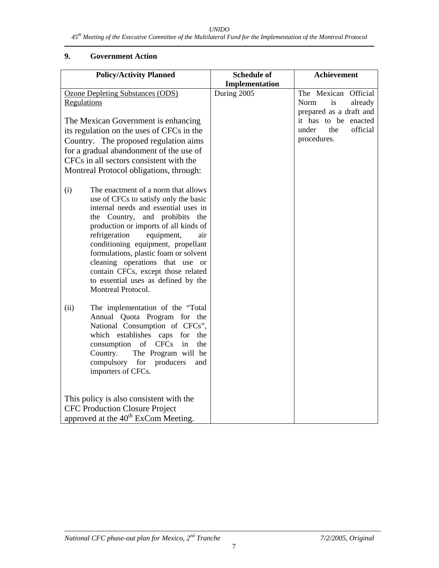#### *UNIDO*

#### **9. Government Action**

| <b>Policy/Activity Planned</b>                                                                                                                                                                                                                                                                                                                                                                                                                                    | <b>Schedule of</b> | Achievement                                                                                                                                 |
|-------------------------------------------------------------------------------------------------------------------------------------------------------------------------------------------------------------------------------------------------------------------------------------------------------------------------------------------------------------------------------------------------------------------------------------------------------------------|--------------------|---------------------------------------------------------------------------------------------------------------------------------------------|
|                                                                                                                                                                                                                                                                                                                                                                                                                                                                   | Implementation     |                                                                                                                                             |
| Ozone Depleting Substances (ODS)<br>Regulations<br>The Mexican Government is enhancing<br>its regulation on the uses of CFCs in the<br>Country. The proposed regulation aims<br>for a gradual abandonment of the use of<br>CFCs in all sectors consistent with the<br>Montreal Protocol obligations, through:                                                                                                                                                     | During 2005        | The Mexican Official<br>Norm<br>is<br>already<br>prepared as a draft and<br>it has to be enacted<br>official<br>under<br>the<br>procedures. |
| The enactment of a norm that allows<br>(i)<br>use of CFCs to satisfy only the basic<br>internal needs and essential uses in<br>the Country, and prohibits the<br>production or imports of all kinds of<br>refrigeration<br>equipment,<br>air<br>conditioning equipment, propellant<br>formulations, plastic foam or solvent<br>cleaning operations that use or<br>contain CFCs, except those related<br>to essential uses as defined by the<br>Montreal Protocol. |                    |                                                                                                                                             |
| The implementation of the "Total<br>(ii)<br>Annual Quota Program for the<br>National Consumption of CFCs",<br>which establishes caps for<br>the<br>of<br>in<br>consumption<br><b>CFCs</b><br>the<br>The Program will be<br>Country.<br>compulsory<br>producers<br>for<br>and<br>importers of CFCs.                                                                                                                                                                |                    |                                                                                                                                             |
| This policy is also consistent with the                                                                                                                                                                                                                                                                                                                                                                                                                           |                    |                                                                                                                                             |
| <b>CFC Production Closure Project</b>                                                                                                                                                                                                                                                                                                                                                                                                                             |                    |                                                                                                                                             |
| approved at the 40 <sup>th</sup> ExCom Meeting.                                                                                                                                                                                                                                                                                                                                                                                                                   |                    |                                                                                                                                             |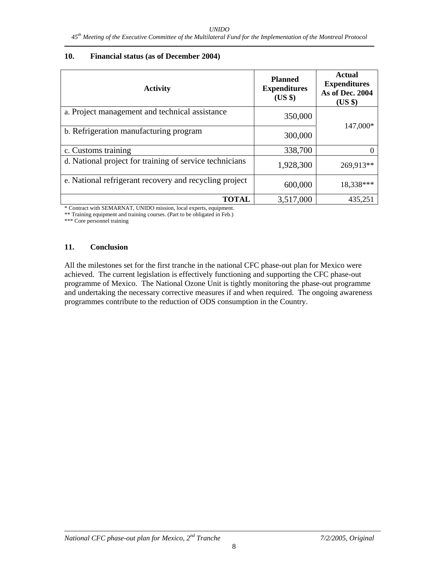#### **10. Financial status (as of December 2004)**

| <b>Activity</b>                                         | <b>Planned</b><br><b>Expenditures</b><br>$(US \$ | <b>Actual</b><br><b>Expenditures</b><br>As of Dec. 2004<br>$(US \$ |
|---------------------------------------------------------|--------------------------------------------------|--------------------------------------------------------------------|
| a. Project management and technical assistance          | 350,000                                          |                                                                    |
| b. Refrigeration manufacturing program                  | 300,000                                          | 147,000*                                                           |
| c. Customs training                                     | 338,700                                          |                                                                    |
| d. National project for training of service technicians | 1,928,300                                        | 269,913**                                                          |
| e. National refrigerant recovery and recycling project  | 600,000                                          | 18,338***                                                          |
| <b>TOTAL</b>                                            | 3,517,000                                        | 435,251                                                            |

\* Contract with SEMARNAT, UNIDO mission, local experts, equipment.

\*\* Training equipment and training courses. (Part to be obligated in Feb.)

\*\*\* Core personnel training

#### **11. Conclusion**

All the milestones set for the first tranche in the national CFC phase-out plan for Mexico were achieved. The current legislation is effectively functioning and supporting the CFC phase-out programme of Mexico. The National Ozone Unit is tightly monitoring the phase-out programme and undertaking the necessary corrective measures if and when required. The ongoing awareness programmes contribute to the reduction of ODS consumption in the Country.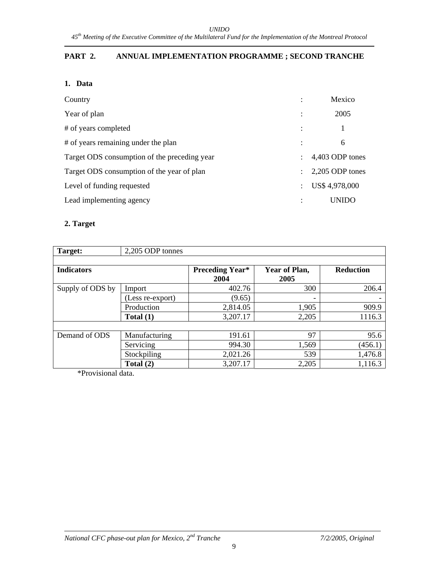#### **PART 2. ANNUAL IMPLEMENTATION PROGRAMME ; SECOND TRANCHE**

#### **1. Data**

| Country                                      | ٠              | Mexico          |
|----------------------------------------------|----------------|-----------------|
| Year of plan                                 | $\ddot{\cdot}$ | 2005            |
| # of years completed                         | $\ddot{\cdot}$ |                 |
| # of years remaining under the plan          |                | 6               |
| Target ODS consumption of the preceding year | ٠              | 4,403 ODP tones |
| Target ODS consumption of the year of plan   |                | 2,205 ODP tones |
| Level of funding requested                   | $\ddot{\cdot}$ | US\$ 4,978,000  |
| Lead implementing agency                     |                | UNIDO           |

#### **2. Target**

| Target:           | 2,205 ODP tonnes |                                |                       |                  |
|-------------------|------------------|--------------------------------|-----------------------|------------------|
| <b>Indicators</b> |                  | <b>Preceding Year*</b><br>2004 | Year of Plan,<br>2005 | <b>Reduction</b> |
| Supply of ODS by  | Import           | 402.76                         | 300                   | 206.4            |
|                   | (Less re-export) | (9.65)                         | ٠                     |                  |
|                   | Production       | 2,814.05                       | 1,905                 | 909.9            |
|                   | Total $(1)$      | 3,207.17                       | 2,205                 | 1116.3           |
|                   |                  |                                |                       |                  |
| Demand of ODS     | Manufacturing    | 191.61                         | 97                    | 95.6             |
|                   | Servicing        | 994.30                         | 1,569                 | (456.1)          |
|                   | Stockpiling      | 2,021.26                       | 539                   | 1,476.8          |
|                   | Total $(2)$      | 3,207.17                       | 2,205                 | 1,116.3          |

\*Provisional data.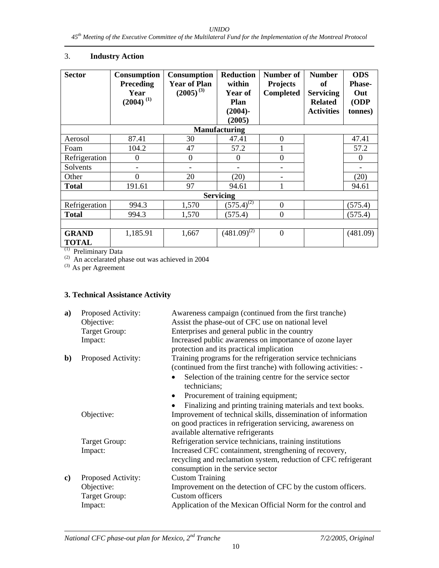#### 3. **Industry Action**

| <b>Sector</b>                | <b>Consumption</b><br><b>Preceding</b><br>Year<br>$(2004)$ <sup>(1)</sup> | <b>Consumption</b><br><b>Year of Plan</b><br>$(2005)^{(3)}$ | <b>Reduction</b><br>within<br>Year of<br>Plan<br>$(2004)$ -<br>(2005) | Number of<br><b>Projects</b><br><b>Completed</b> | <b>Number</b><br>of<br><b>Servicing</b><br><b>Related</b><br><b>Activities</b> | <b>ODS</b><br><b>Phase-</b><br>Out<br>ODP<br>tonnes) |
|------------------------------|---------------------------------------------------------------------------|-------------------------------------------------------------|-----------------------------------------------------------------------|--------------------------------------------------|--------------------------------------------------------------------------------|------------------------------------------------------|
|                              |                                                                           |                                                             | <b>Manufacturing</b>                                                  |                                                  |                                                                                |                                                      |
| Aerosol                      | 87.41                                                                     | 30                                                          | 47.41                                                                 | $\theta$                                         |                                                                                | 47.41                                                |
| Foam                         | 104.2                                                                     | 47                                                          | 57.2                                                                  |                                                  |                                                                                | 57.2                                                 |
| Refrigeration                | $\theta$                                                                  | $\theta$                                                    | $\Omega$                                                              | $\boldsymbol{0}$                                 |                                                                                | $\Omega$                                             |
| Solvents                     |                                                                           |                                                             |                                                                       |                                                  |                                                                                |                                                      |
| Other                        | 0                                                                         | 20                                                          | (20)                                                                  |                                                  |                                                                                | (20)                                                 |
| <b>Total</b>                 | 191.61                                                                    | 97                                                          | 94.61                                                                 |                                                  |                                                                                | 94.61                                                |
|                              |                                                                           |                                                             | <b>Servicing</b>                                                      |                                                  |                                                                                |                                                      |
| Refrigeration                | 994.3                                                                     | 1,570                                                       | $(575.4)^{(2)}$                                                       | $\boldsymbol{0}$                                 |                                                                                | (575.4)                                              |
| <b>Total</b>                 | 994.3                                                                     | 1,570                                                       | (575.4)                                                               | $\boldsymbol{0}$                                 |                                                                                | (575.4)                                              |
|                              |                                                                           |                                                             |                                                                       |                                                  |                                                                                |                                                      |
| <b>GRAND</b><br><b>TOTAL</b> | 1,185.91                                                                  | 1,667                                                       | $(481.09)^{(2)}$                                                      | $\boldsymbol{0}$                                 |                                                                                | (481.09)                                             |

(1) Preliminary Data

 $(2)$  An accelarated phase out was achieved in 2004

 $^{(3)}$  As per Agreement

#### **3. Technical Assistance Activity**

| a) | Proposed Activity:<br>Objective:<br><b>Target Group:</b><br>Impact: | Awareness campaign (continued from the first tranche)<br>Assist the phase-out of CFC use on national level<br>Enterprises and general public in the country<br>Increased public awareness on importance of ozone layer<br>protection and its practical implication                                                         |
|----|---------------------------------------------------------------------|----------------------------------------------------------------------------------------------------------------------------------------------------------------------------------------------------------------------------------------------------------------------------------------------------------------------------|
| b) | Proposed Activity:                                                  | Training programs for the refrigeration service technicians<br>(continued from the first tranche) with following activities: -<br>Selection of the training centre for the service sector<br>technicians;<br>Procurement of training equipment;<br>$\bullet$<br>Finalizing and printing training materials and text books. |
|    | Objective:                                                          | Improvement of technical skills, dissemination of information<br>on good practices in refrigeration servicing, awareness on<br>available alternative refrigerants                                                                                                                                                          |
|    | <b>Target Group:</b><br>Impact:                                     | Refrigeration service technicians, training institutions<br>Increased CFC containment, strengthening of recovery,<br>recycling and reclamation system, reduction of CFC refrigerant<br>consumption in the service sector                                                                                                   |
| c) | Proposed Activity:<br>Objective:<br>Target Group:<br>Impact:        | <b>Custom Training</b><br>Improvement on the detection of CFC by the custom officers.<br><b>Custom officers</b><br>Application of the Mexican Official Norm for the control and                                                                                                                                            |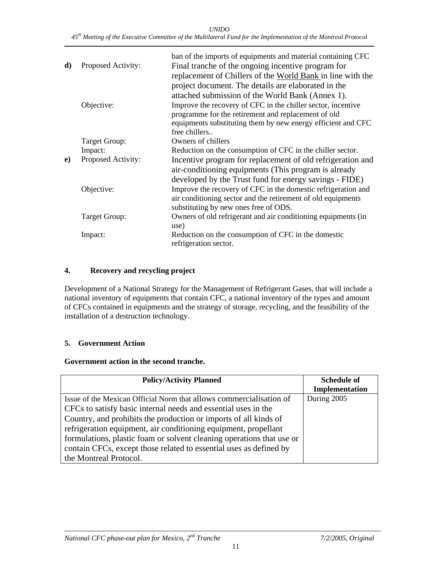*UNIDO 45th Meeting of the Executive Committee of the Multilateral Fund for the Implementation of the Montreal Protocol* 

| d) | Proposed Activity: | ban of the imports of equipments and material containing CFC<br>Final tranche of the ongoing incentive program for<br>replacement of Chillers of the World Bank in line with the<br>project document. The details are elaborated in the |
|----|--------------------|-----------------------------------------------------------------------------------------------------------------------------------------------------------------------------------------------------------------------------------------|
|    | Objective:         | attached submission of the World Bank (Annex 1).<br>Improve the recovery of CFC in the chiller sector, incentive                                                                                                                        |
|    |                    | programme for the retirement and replacement of old<br>equipments substituting them by new energy efficient and CFC<br>free chillers                                                                                                    |
|    | Target Group:      | Owners of chillers                                                                                                                                                                                                                      |
|    | Impact:            | Reduction on the consumption of CFC in the chiller sector.                                                                                                                                                                              |
| e) | Proposed Activity: | Incentive program for replacement of old refrigeration and<br>air-conditioning equipments (This program is already<br>developed by the Trust fund for energy savings - FIDE)                                                            |
|    | Objective:         | Improve the recovery of CFC in the domestic refrigeration and<br>air conditioning sector and the retirement of old equipments<br>substituting by new ones free of ODS.                                                                  |
|    | Target Group:      | Owners of old refrigerant and air conditioning equipments (in<br>use)                                                                                                                                                                   |
|    | Impact:            | Reduction on the consumption of CFC in the domestic<br>refrigeration sector.                                                                                                                                                            |

#### **4. Recovery and recycling project**

Development of a National Strategy for the Management of Refrigerant Gases, that will include a national inventory of equipments that contain CFC, a national inventory of the types and amount of CFCs contained in equipments and the strategy of storage, recycling, and the feasibility of the installation of a destruction technology.

#### **5. Government Action**

#### **Government action in the second tranche.**

| <b>Policy/Activity Planned</b>                                        | <b>Schedule of</b> |
|-----------------------------------------------------------------------|--------------------|
|                                                                       | Implementation     |
| Issue of the Mexican Official Norm that allows commercialization of   | During 2005        |
| CFCs to satisfy basic internal needs and essential uses in the        |                    |
| Country, and prohibits the production or imports of all kinds of      |                    |
| refrigeration equipment, air conditioning equipment, propellant       |                    |
| formulations, plastic foam or solvent cleaning operations that use or |                    |
| contain CFCs, except those related to essential uses as defined by    |                    |
| the Montreal Protocol.                                                |                    |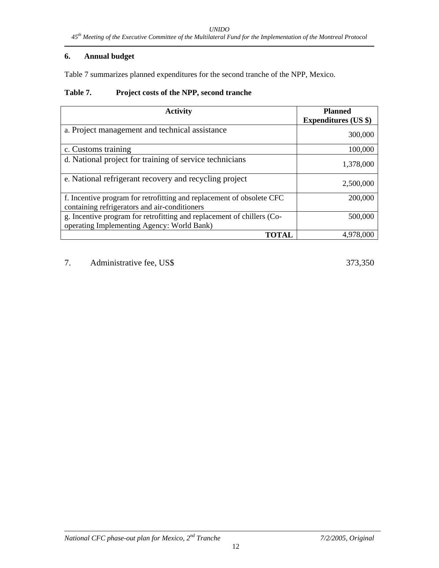#### **6. Annual budget**

Table 7 summarizes planned expenditures for the second tranche of the NPP, Mexico.

#### **Table 7. Project costs of the NPP, second tranche**

| <b>Activity</b>                                                                                                        | <b>Planned</b>              |
|------------------------------------------------------------------------------------------------------------------------|-----------------------------|
|                                                                                                                        | <b>Expenditures (US \$)</b> |
| a. Project management and technical assistance                                                                         | 300,000                     |
| c. Customs training                                                                                                    | 100,000                     |
| d. National project for training of service technicians                                                                | 1,378,000                   |
| e. National refrigerant recovery and recycling project                                                                 | 2,500,000                   |
| f. Incentive program for retrofitting and replacement of obsolete CFC<br>containing refrigerators and air-conditioners | 200,000                     |
| g. Incentive program for retrofitting and replacement of chillers (Co-<br>operating Implementing Agency: World Bank)   | 500,000                     |
| TOTAL                                                                                                                  | 4.978.000                   |

7. Administrative fee, US\$ 373,350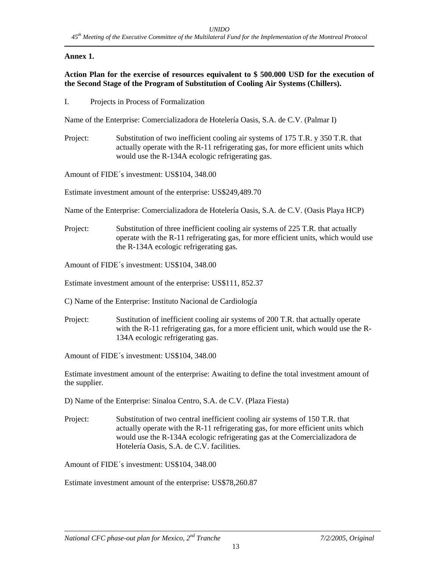#### **Annex 1.**

#### **Action Plan for the exercise of resources equivalent to \$ 500.000 USD for the execution of the Second Stage of the Program of Substitution of Cooling Air Systems (Chillers).**

I. Projects in Process of Formalization

Name of the Enterprise: Comercializadora de Hotelería Oasis, S.A. de C.V. (Palmar I)

Project: Substitution of two inefficient cooling air systems of 175 T.R. y 350 T.R. that actually operate with the R-11 refrigerating gas, for more efficient units which would use the R-134A ecologic refrigerating gas.

Amount of FIDE´s investment: US\$104, 348.00

Estimate investment amount of the enterprise: US\$249,489.70

Name of the Enterprise: Comercializadora de Hotelería Oasis, S.A. de C.V. (Oasis Playa HCP)

Project: Substitution of three inefficient cooling air systems of 225 T.R. that actually operate with the R-11 refrigerating gas, for more efficient units, which would use the R-134A ecologic refrigerating gas.

Amount of FIDE´s investment: US\$104, 348.00

Estimate investment amount of the enterprise: US\$111, 852.37

C) Name of the Enterprise: Instituto Nacional de Cardiología

Project: Sustitution of inefficient cooling air systems of 200 T.R. that actually operate with the R-11 refrigerating gas, for a more efficient unit, which would use the R-134A ecologic refrigerating gas.

Amount of FIDE´s investment: US\$104, 348.00

Estimate investment amount of the enterprise: Awaiting to define the total investment amount of the supplier.

D) Name of the Enterprise: Sinaloa Centro, S.A. de C.V. (Plaza Fiesta)

Project: Substitution of two central inefficient cooling air systems of 150 T.R. that actually operate with the R-11 refrigerating gas, for more efficient units which would use the R-134A ecologic refrigerating gas at the Comercializadora de Hotelería Oasis, S.A. de C.V. facilities.

Amount of FIDE´s investment: US\$104, 348.00

Estimate investment amount of the enterprise: US\$78,260.87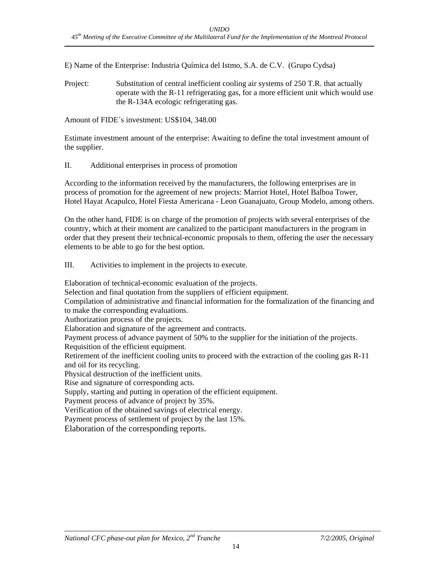E) Name of the Enterprise: Industria Química del Istmo, S.A. de C.V. (Grupo Cydsa)

Project: Substitution of central inefficient cooling air systems of 250 T.R. that actually operate with the R-11 refrigerating gas, for a more efficient unit which would use the R-134A ecologic refrigerating gas.

Amount of FIDE´s investment: US\$104, 348.00

Estimate investment amount of the enterprise: Awaiting to define the total investment amount of the supplier.

#### II. Additional enterprises in process of promotion

According to the information received by the manufacturers, the following enterprises are in process of promotion for the agreement of new projects: Marriot Hotel, Hotel Balboa Tower, Hotel Hayat Acapulco, Hotel Fiesta Americana - Leon Guanajuato, Group Modelo, among others.

On the other hand, FIDE is on charge of the promotion of projects with several enterprises of the country, which at their moment are canalized to the participant manufacturers in the program in order that they present their technical-economic proposals to them, offering the user the necessary elements to be able to go for the best option.

III. Activities to implement in the projects to execute.

Elaboration of technical-economic evaluation of the projects.

Selection and final quotation from the suppliers of efficient equipment.

Compilation of administrative and financial information for the formalization of the financing and to make the corresponding evaluations.

Authorization process of the projects.

Elaboration and signature of the agreement and contracts.

Payment process of advance payment of 50% to the supplier for the initiation of the projects.

Requisition of the efficient equipment.

Retirement of the inefficient cooling units to proceed with the extraction of the cooling gas R-11 and oil for its recycling.

Physical destruction of the inefficient units.

Rise and signature of corresponding acts.

Supply, starting and putting in operation of the efficient equipment.

Payment process of advance of project by 35%.

Verification of the obtained savings of electrical energy.

Payment process of settlement of project by the last 15%.

Elaboration of the corresponding reports.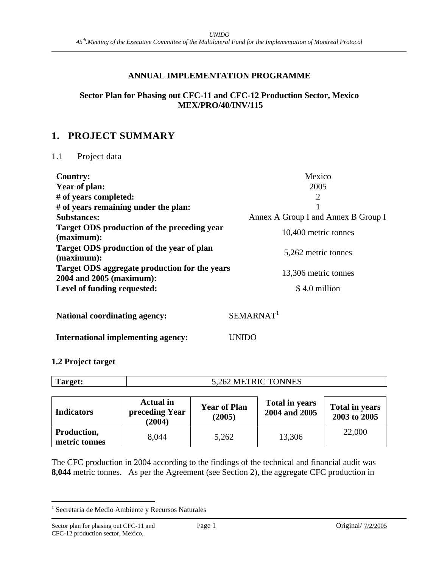#### **ANNUAL IMPLEMENTATION PROGRAMME**

#### **Sector Plan for Phasing out CFC-11 and CFC-12 Production Sector, Mexico MEX/PRO/40/INV/115**

#### **1. PROJECT SUMMARY**

#### 1.1 Project data

| <b>Country:</b>                                                           | Mexico                              |
|---------------------------------------------------------------------------|-------------------------------------|
| Year of plan:                                                             | 2005                                |
| # of years completed:                                                     | $\overline{2}$                      |
| # of years remaining under the plan:                                      | 1                                   |
| <b>Substances:</b>                                                        | Annex A Group I and Annex B Group I |
| Target ODS production of the preceding year<br>(maximum):                 | 10,400 metric tonnes                |
| Target ODS production of the year of plan<br>(maximum):                   | 5,262 metric tonnes                 |
| Target ODS aggregate production for the years<br>2004 and 2005 (maximum): | 13,306 metric tonnes                |
| Level of funding requested:                                               | \$4.0 million                       |
| <b>National coordinating agency:</b>                                      | SEMARNAT <sup>1</sup>               |
| International implementing agency:                                        | UNIDO                               |

#### **1.2 Project target**

| Target:                      | 5,262 METRIC TONNES                          |                               |                                        |                                       |  |  |  |
|------------------------------|----------------------------------------------|-------------------------------|----------------------------------------|---------------------------------------|--|--|--|
|                              |                                              |                               |                                        |                                       |  |  |  |
| <b>Indicators</b>            | <b>Actual</b> in<br>preceding Year<br>(2004) | <b>Year of Plan</b><br>(2005) | <b>Total in years</b><br>2004 and 2005 | <b>Total in years</b><br>2003 to 2005 |  |  |  |
| Production,<br>metric tonnes | 8,044                                        | 5,262                         | 13,306                                 | 22,000                                |  |  |  |

The CFC production in 2004 according to the findings of the technical and financial audit was **8,044** metric tonnes. As per the Agreement (see Section 2), the aggregate CFC production in

 1 Secretaria de Medio Ambiente y Recursos Naturales

Sector plan for phasing out CFC-11 and Page 1 Original/  $\frac{7/2/2005}{2}$ CFC-12 production sector, Mexico,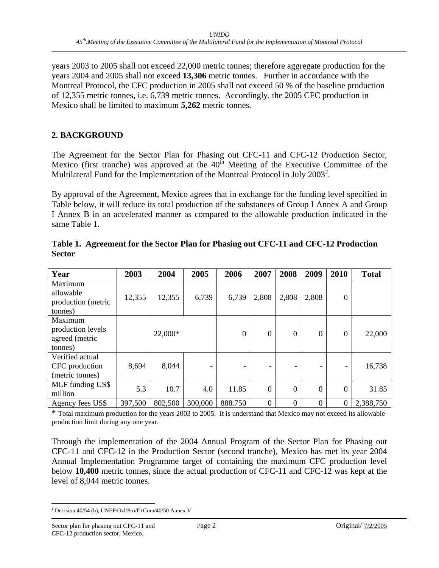years 2003 to 2005 shall not exceed 22,000 metric tonnes; therefore aggregate production for the years 2004 and 2005 shall not exceed **13,306** metric tonnes. Further in accordance with the Montreal Protocol, the CFC production in 2005 shall not exceed 50 % of the baseline production of 12,355 metric tonnes, i.e. 6,739 metric tonnes. Accordingly, the 2005 CFC production in Mexico shall be limited to maximum **5,262** metric tonnes.

#### **2. BACKGROUND**

The Agreement for the Sector Plan for Phasing out CFC-11 and CFC-12 Production Sector, Mexico (first tranche) was approved at the  $40<sup>th</sup>$  Meeting of the Executive Committee of the Multilateral Fund for the Implementation of the Montreal Protocol in July 2003<sup>2</sup>.

By approval of the Agreement, Mexico agrees that in exchange for the funding level specified in Table below, it will reduce its total production of the substances of Group I Annex A and Group I Annex B in an accelerated manner as compared to the allowable production indicated in the same Table 1.

| Year                                                      | 2003    | 2004    | 2005    | 2006             | 2007             | 2008             | 2009     | 2010     | <b>Total</b> |
|-----------------------------------------------------------|---------|---------|---------|------------------|------------------|------------------|----------|----------|--------------|
| Maximum<br>allowable<br>production (metric<br>tonnes)     | 12,355  | 12,355  | 6,739   | 6,739            | 2,808            | 2,808            | 2,808    | $\Omega$ |              |
| Maximum<br>production levels<br>agreed (metric<br>tonnes) |         | 22,000* |         | $\boldsymbol{0}$ | $\boldsymbol{0}$ | $\boldsymbol{0}$ | $\theta$ | $\Omega$ | 22,000       |
| Verified actual<br>CFC production<br>(metric tonnes)      | 8,694   | 8,044   | ٠       | -                | -                | -                | -        |          | 16,738       |
| MLF funding US\$<br>million                               | 5.3     | 10.7    | 4.0     | 11.85            | $\overline{0}$   | $\overline{0}$   | $\Omega$ | $\Omega$ | 31.85        |
| Agency fees US\$                                          | 397,500 | 802,500 | 300,000 | 888.750          | $\theta$         | $\overline{0}$   | $\Omega$ | $\Omega$ | 2,388,750    |

**Table 1. Agreement for the Sector Plan for Phasing out CFC-11 and CFC-12 Production Sector** 

\* Total maximum production for the years 2003 to 2005. It is understand that Mexico may not exceed its allowable production limit during any one year.

Through the implementation of the 2004 Annual Program of the Sector Plan for Phasing out CFC-11 and CFC-12 in the Production Sector (second tranche)*,* Mexico has met its year 2004 Annual Implementation Programme target of containing the maximum CFC production level below **10,400** metric tonnes, since the actual production of CFC-11 and CFC-12 was kept at the level of 8,044 metric tonnes.

 2 Decision 40/54 (h), UNEP/Ozl/Pro/ExCom/40/50 Annex V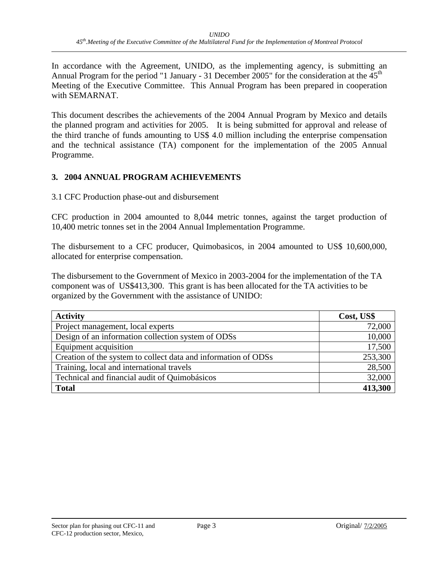In accordance with the Agreement, UNIDO, as the implementing agency, is submitting an Annual Program for the period "1 January - 31 December 2005" for the consideration at the 45<sup>th</sup> Meeting of the Executive Committee. This Annual Program has been prepared in cooperation with SEMARNAT.

This document describes the achievements of the 2004 Annual Program by Mexico and details the planned program and activities for 2005. It is being submitted for approval and release of the third tranche of funds amounting to US\$ 4.0 million including the enterprise compensation and the technical assistance (TA) component for the implementation of the 2005 Annual Programme.

#### **3. 2004 ANNUAL PROGRAM ACHIEVEMENTS**

3.1 CFC Production phase-out and disbursement

CFC production in 2004 amounted to 8,044 metric tonnes, against the target production of 10,400 metric tonnes set in the 2004 Annual Implementation Programme.

The disbursement to a CFC producer, Quimobasicos, in 2004 amounted to US\$ 10,600,000, allocated for enterprise compensation.

The disbursement to the Government of Mexico in 2003-2004 for the implementation of the TA component was of US\$413,300. This grant is has been allocated for the TA activities to be organized by the Government with the assistance of UNIDO:

| <b>Activity</b>                                                | Cost, US\$ |
|----------------------------------------------------------------|------------|
| Project management, local experts                              | 72,000     |
| Design of an information collection system of ODSs             | 10,000     |
| Equipment acquisition                                          | 17,500     |
| Creation of the system to collect data and information of ODSs | 253,300    |
| Training, local and international travels                      | 28,500     |
| Technical and financial audit of Quimobásicos                  | 32,000     |
| <b>Total</b>                                                   | 413,300    |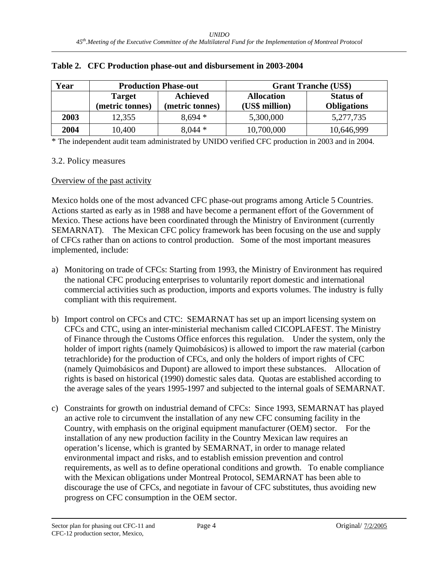| Year | <b>Production Phase-out</b>      |                                    | <b>Grant Tranche (US\$)</b> |                                        |  |
|------|----------------------------------|------------------------------------|-----------------------------|----------------------------------------|--|
|      | <b>Target</b><br>(metric tonnes) | <b>Achieved</b><br>(metric tonnes) |                             | <b>Status of</b><br><b>Obligations</b> |  |
| 2003 | 12,355                           | $8,694*$                           | 5,300,000                   | 5,277,735                              |  |
| 2004 | 10,400                           | $8,044*$                           | 10,700,000                  | 10,646,999                             |  |

#### **Table 2. CFC Production phase-out and disbursement in 2003-2004**

\* The independent audit team administrated by UNIDO verified CFC production in 2003 and in 2004.

#### 3.2. Policy measures

#### Overview of the past activity

Mexico holds one of the most advanced CFC phase-out programs among Article 5 Countries. Actions started as early as in 1988 and have become a permanent effort of the Government of Mexico. These actions have been coordinated through the Ministry of Environment (currently SEMARNAT). The Mexican CFC policy framework has been focusing on the use and supply of CFCs rather than on actions to control production. Some of the most important measures implemented, include:

- a) Monitoring on trade of CFCs: Starting from 1993, the Ministry of Environment has required the national CFC producing enterprises to voluntarily report domestic and international commercial activities such as production, imports and exports volumes. The industry is fully compliant with this requirement.
- b) Import control on CFCs and CTC: SEMARNAT has set up an import licensing system on CFCs and CTC, using an inter-ministerial mechanism called CICOPLAFEST. The Ministry of Finance through the Customs Office enforces this regulation. Under the system, only the holder of import rights (namely Quimobásicos) is allowed to import the raw material (carbon tetrachloride) for the production of CFCs, and only the holders of import rights of CFC (namely Quimobásicos and Dupont) are allowed to import these substances. Allocation of rights is based on historical (1990) domestic sales data. Quotas are established according to the average sales of the years 1995-1997 and subjected to the internal goals of SEMARNAT.
- c) Constraints for growth on industrial demand of CFCs: Since 1993, SEMARNAT has played an active role to circumvent the installation of any new CFC consuming facility in the Country, with emphasis on the original equipment manufacturer (OEM) sector. For the installation of any new production facility in the Country Mexican law requires an operation's license, which is granted by SEMARNAT, in order to manage related environmental impact and risks, and to establish emission prevention and control requirements, as well as to define operational conditions and growth. To enable compliance with the Mexican obligations under Montreal Protocol, SEMARNAT has been able to discourage the use of CFCs, and negotiate in favour of CFC substitutes, thus avoiding new progress on CFC consumption in the OEM sector.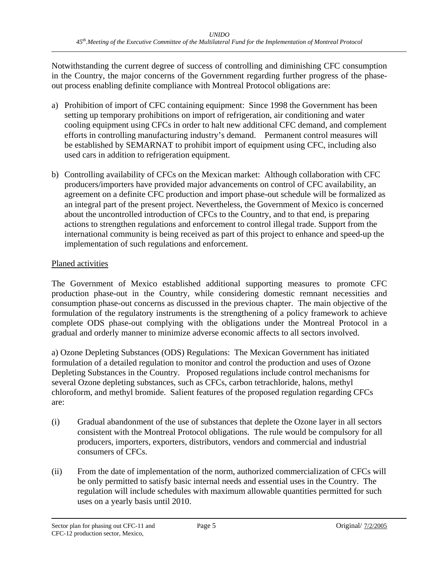Notwithstanding the current degree of success of controlling and diminishing CFC consumption in the Country, the major concerns of the Government regarding further progress of the phaseout process enabling definite compliance with Montreal Protocol obligations are:

- a) Prohibition of import of CFC containing equipment: Since 1998 the Government has been setting up temporary prohibitions on import of refrigeration, air conditioning and water cooling equipment using CFCs in order to halt new additional CFC demand, and complement efforts in controlling manufacturing industry's demand. Permanent control measures will be established by SEMARNAT to prohibit import of equipment using CFC, including also used cars in addition to refrigeration equipment.
- b) Controlling availability of CFCs on the Mexican market: Although collaboration with CFC producers/importers have provided major advancements on control of CFC availability, an agreement on a definite CFC production and import phase-out schedule will be formalized as an integral part of the present project. Nevertheless, the Government of Mexico is concerned about the uncontrolled introduction of CFCs to the Country, and to that end, is preparing actions to strengthen regulations and enforcement to control illegal trade. Support from the international community is being received as part of this project to enhance and speed-up the implementation of such regulations and enforcement.

#### Planed activities

The Government of Mexico established additional supporting measures to promote CFC production phase-out in the Country, while considering domestic remnant necessities and consumption phase-out concerns as discussed in the previous chapter. The main objective of the formulation of the regulatory instruments is the strengthening of a policy framework to achieve complete ODS phase-out complying with the obligations under the Montreal Protocol in a gradual and orderly manner to minimize adverse economic affects to all sectors involved.

a) Ozone Depleting Substances (ODS) Regulations: The Mexican Government has initiated formulation of a detailed regulation to monitor and control the production and uses of Ozone Depleting Substances in the Country. Proposed regulations include control mechanisms for several Ozone depleting substances, such as CFCs, carbon tetrachloride, halons, methyl chloroform, and methyl bromide. Salient features of the proposed regulation regarding CFCs are:

- (i) Gradual abandonment of the use of substances that deplete the Ozone layer in all sectors consistent with the Montreal Protocol obligations. The rule would be compulsory for all producers, importers, exporters, distributors, vendors and commercial and industrial consumers of CFCs.
- (ii) From the date of implementation of the norm, authorized commercialization of CFCs will be only permitted to satisfy basic internal needs and essential uses in the Country. The regulation will include schedules with maximum allowable quantities permitted for such uses on a yearly basis until 2010.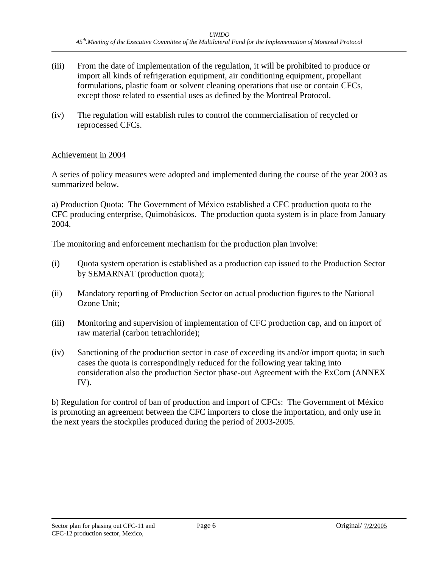- (iii) From the date of implementation of the regulation, it will be prohibited to produce or import all kinds of refrigeration equipment, air conditioning equipment, propellant formulations, plastic foam or solvent cleaning operations that use or contain CFCs, except those related to essential uses as defined by the Montreal Protocol.
- (iv) The regulation will establish rules to control the commercialisation of recycled or reprocessed CFCs.

#### Achievement in 2004

A series of policy measures were adopted and implemented during the course of the year 2003 as summarized below.

a) Production Quota: The Government of México established a CFC production quota to the CFC producing enterprise, Quimobásicos. The production quota system is in place from January 2004.

The monitoring and enforcement mechanism for the production plan involve:

- (i) Quota system operation is established as a production cap issued to the Production Sector by SEMARNAT (production quota);
- (ii) Mandatory reporting of Production Sector on actual production figures to the National Ozone Unit;
- (iii) Monitoring and supervision of implementation of CFC production cap, and on import of raw material (carbon tetrachloride);
- (iv) Sanctioning of the production sector in case of exceeding its and/or import quota; in such cases the quota is correspondingly reduced for the following year taking into consideration also the production Sector phase-out Agreement with the ExCom (ANNEX IV).

b) Regulation for control of ban of production and import of CFCs: The Government of México is promoting an agreement between the CFC importers to close the importation, and only use in the next years the stockpiles produced during the period of 2003-2005.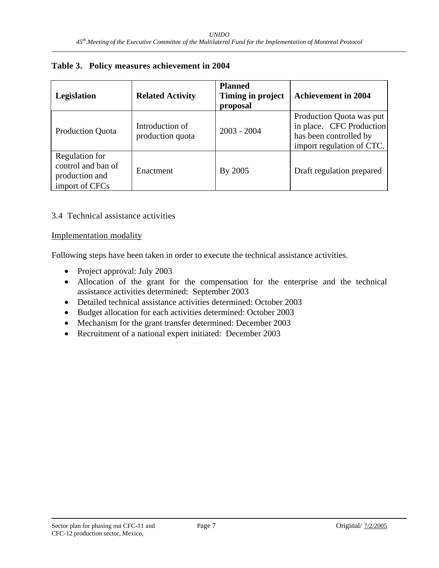| <b>Legislation</b>                                                       | <b>Related Activity</b>             | <b>Planned</b><br>Timing in project<br>proposal | <b>Achievement in 2004</b>                                                                                  |
|--------------------------------------------------------------------------|-------------------------------------|-------------------------------------------------|-------------------------------------------------------------------------------------------------------------|
| <b>Production Quota</b>                                                  | Introduction of<br>production quota | $2003 - 2004$                                   | Production Quota was put<br>in place. CFC Production<br>has been controlled by<br>import regulation of CTC. |
| Regulation for<br>control and ban of<br>production and<br>import of CFCs | Enactment                           | By 2005                                         | Draft regulation prepared                                                                                   |

#### **Table 3. Policy measures achievement in 2004**

#### 3.4 Technical assistance activities

#### Implementation modality

Following steps have been taken in order to execute the technical assistance activities.

- Project approval: July 2003
- Allocation of the grant for the compensation for the enterprise and the technical assistance activities determined: September 2003
- Detailed technical assistance activities determined: October 2003
- Budget allocation for each activities determined: October 2003
- Mechanism for the grant transfer determined: December 2003
- Recruitment of a national expert initiated: December 2003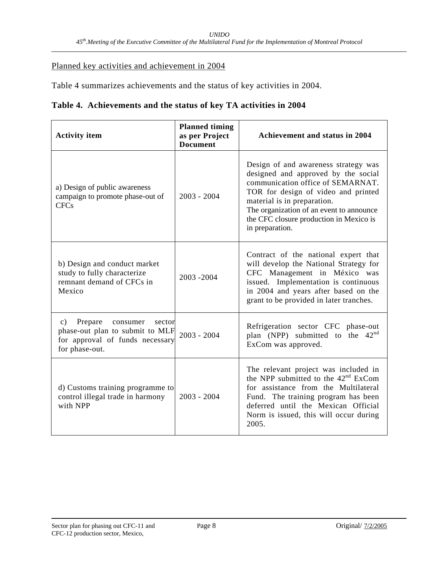#### Planned key activities and achievement in 2004

Table 4 summarizes achievements and the status of key activities in 2004.

| Table 4. Achievements and the status of key TA activities in 2004 |  |  |
|-------------------------------------------------------------------|--|--|
|                                                                   |  |  |

| <b>Activity item</b>                                                                                                                   | <b>Planned timing</b><br>as per Project<br><b>Document</b> | <b>Achievement and status in 2004</b>                                                                                                                                                                                                                                                            |
|----------------------------------------------------------------------------------------------------------------------------------------|------------------------------------------------------------|--------------------------------------------------------------------------------------------------------------------------------------------------------------------------------------------------------------------------------------------------------------------------------------------------|
| a) Design of public awareness<br>campaign to promote phase-out of<br><b>CFCs</b>                                                       | $2003 - 2004$                                              | Design of and awareness strategy was<br>designed and approved by the social<br>communication office of SEMARNAT.<br>TOR for design of video and printed<br>material is in preparation.<br>The organization of an event to announce<br>the CFC closure production in Mexico is<br>in preparation. |
| b) Design and conduct market<br>study to fully characterize<br>remnant demand of CFCs in<br>Mexico                                     | 2003-2004                                                  | Contract of the national expert that<br>will develop the National Strategy for<br>CFC Management in México was<br>issued. Implementation is continuous<br>in 2004 and years after based on the<br>grant to be provided in later tranches.                                                        |
| Prepare<br>$\mathbf{c})$<br>consumer<br>sector<br>phase-out plan to submit to MLF<br>for approval of funds necessary<br>for phase-out. | $2003 - 2004$                                              | Refrigeration sector CFC phase-out<br>plan (NPP) submitted to the $42nd$<br>ExCom was approved.                                                                                                                                                                                                  |
| d) Customs training programme to<br>control illegal trade in harmony<br>with NPP                                                       | $2003 - 2004$                                              | The relevant project was included in<br>the NPP submitted to the 42 <sup>nd</sup> ExCom<br>for assistance from the Multilateral<br>Fund. The training program has been<br>deferred until the Mexican Official<br>Norm is issued, this will occur during<br>2005.                                 |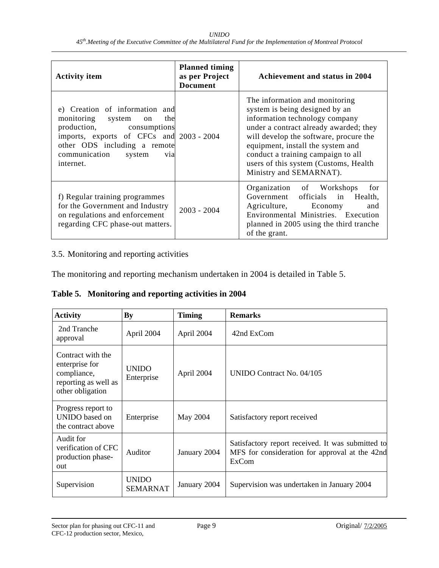| <b>Activity item</b>                                                                                                                                                                                                              | <b>Planned timing</b><br>as per Project<br><b>Document</b> | Achievement and status in 2004                                                                                                                                                                                                                                                                                                        |
|-----------------------------------------------------------------------------------------------------------------------------------------------------------------------------------------------------------------------------------|------------------------------------------------------------|---------------------------------------------------------------------------------------------------------------------------------------------------------------------------------------------------------------------------------------------------------------------------------------------------------------------------------------|
| e) Creation of information and<br>monitoring system<br>the<br>on<br>production, consumptions<br>imports, exports of CFCs and 2003 - 2004<br>other ODS including a remote<br>communication system<br>v <sub>1</sub> a<br>internet. |                                                            | The information and monitoring<br>system is being designed by an<br>information technology company<br>under a contract already awarded; they<br>will develop the software, procure the<br>equipment, install the system and<br>conduct a training campaign to all<br>users of this system (Customs, Health<br>Ministry and SEMARNAT). |
| f) Regular training programmes<br>for the Government and Industry<br>on regulations and enforcement<br>regarding CFC phase-out matters.                                                                                           | $2003 - 2004$                                              | Organization of Workshops<br>for<br>Government officials in Health,<br>Agriculture, Economy<br>and<br>Environmental Ministries. Execution<br>planned in 2005 using the third tranche<br>of the grant.                                                                                                                                 |

#### 3.5. Monitoring and reporting activities

The monitoring and reporting mechanism undertaken in 2004 is detailed in Table 5.

**Table 5. Monitoring and reporting activities in 2004** 

| <b>Activity</b>                                                                                | By                       | <b>Timing</b> | <b>Remarks</b>                                                                                               |
|------------------------------------------------------------------------------------------------|--------------------------|---------------|--------------------------------------------------------------------------------------------------------------|
| 2nd Tranche<br>approval                                                                        | April 2004               | April 2004    | 42nd ExCom                                                                                                   |
| Contract with the<br>enterprise for<br>compliance,<br>reporting as well as<br>other obligation | UNIDO<br>Enterprise      | April 2004    | UNIDO Contract No. $04/105$                                                                                  |
| Progress report to<br>UNIDO based on<br>the contract above                                     | Enterprise               | May 2004      | Satisfactory report received                                                                                 |
| Audit for<br>verification of CFC<br>production phase-<br>out                                   | Auditor                  | January 2004  | Satisfactory report received. It was submitted to<br>MFS for consideration for approval at the 42nd<br>ExCom |
| Supervision                                                                                    | <b>UNIDO</b><br>SEMARNAT | January 2004  | Supervision was undertaken in January 2004                                                                   |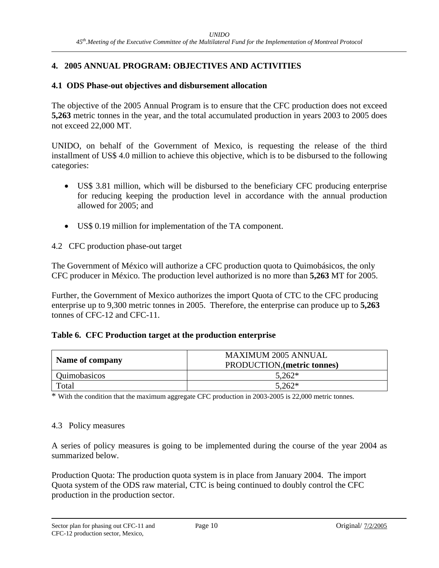#### **4. 2005 ANNUAL PROGRAM: OBJECTIVES AND ACTIVITIES**

#### **4.1 ODS Phase-out objectives and disbursement allocation**

The objective of the 2005 Annual Program is to ensure that the CFC production does not exceed **5,263** metric tonnes in the year, and the total accumulated production in years 2003 to 2005 does not exceed 22,000 MT.

UNIDO, on behalf of the Government of Mexico, is requesting the release of the third installment of US\$ 4.0 million to achieve this objective, which is to be disbursed to the following categories:

- US\$ 3.81 million, which will be disbursed to the beneficiary CFC producing enterprise for reducing keeping the production level in accordance with the annual production allowed for 2005; and
- US\$ 0.19 million for implementation of the TA component.

4.2 CFC production phase-out target

The Government of México will authorize a CFC production quota to Quimobásicos, the only CFC producer in México. The production level authorized is no more than **5,263** MT for 2005.

Further, the Government of Mexico authorizes the import Quota of CTC to the CFC producing enterprise up to 9,300 metric tonnes in 2005. Therefore, the enterprise can produce up to **5,263** tonnes of CFC-12 and CFC-11.

#### **Table 6. CFC Production target at the production enterprise**

| Name of company | <b>MAXIMUM 2005 ANNUAL</b><br>PRODUCTION, (metric tonnes) |
|-----------------|-----------------------------------------------------------|
| Quimobasicos    | $5.262*$                                                  |
| Total           | $5,262*$                                                  |

\* With the condition that the maximum aggregate CFC production in 2003-2005 is 22,000 metric tonnes.

#### 4.3 Policy measures

A series of policy measures is going to be implemented during the course of the year 2004 as summarized below.

Production Quota: The production quota system is in place from January 2004. The import Quota system of the ODS raw material, CTC is being continued to doubly control the CFC production in the production sector.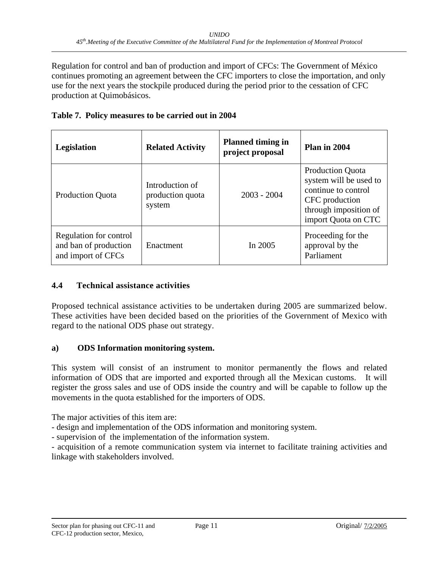Regulation for control and ban of production and import of CFCs: The Government of México continues promoting an agreement between the CFC importers to close the importation, and only use for the next years the stockpile produced during the period prior to the cessation of CFC production at Quimobásicos.

|  | Table 7. Policy measures to be carried out in 2004 |  |  |  |
|--|----------------------------------------------------|--|--|--|
|  |                                                    |  |  |  |

| Legislation                                                           | <b>Related Activity</b>                       | <b>Planned timing in</b><br>project proposal | Plan in 2004                                                                                                                               |
|-----------------------------------------------------------------------|-----------------------------------------------|----------------------------------------------|--------------------------------------------------------------------------------------------------------------------------------------------|
| <b>Production Quota</b>                                               | Introduction of<br>production quota<br>system | $2003 - 2004$                                | <b>Production Quota</b><br>system will be used to<br>continue to control<br>CFC production<br>through imposition of<br>import Quota on CTC |
| Regulation for control<br>and ban of production<br>and import of CFCs | Enactment                                     | In $2005$                                    | Proceeding for the<br>approval by the<br>Parliament                                                                                        |

#### **4.4 Technical assistance activities**

Proposed technical assistance activities to be undertaken during 2005 are summarized below. These activities have been decided based on the priorities of the Government of Mexico with regard to the national ODS phase out strategy.

#### **a) ODS Information monitoring system.**

This system will consist of an instrument to monitor permanently the flows and related information of ODS that are imported and exported through all the Mexican customs. It will register the gross sales and use of ODS inside the country and will be capable to follow up the movements in the quota established for the importers of ODS.

The major activities of this item are:

- design and implementation of the ODS information and monitoring system.
- supervision of the implementation of the information system.

- acquisition of a remote communication system via internet to facilitate training activities and linkage with stakeholders involved.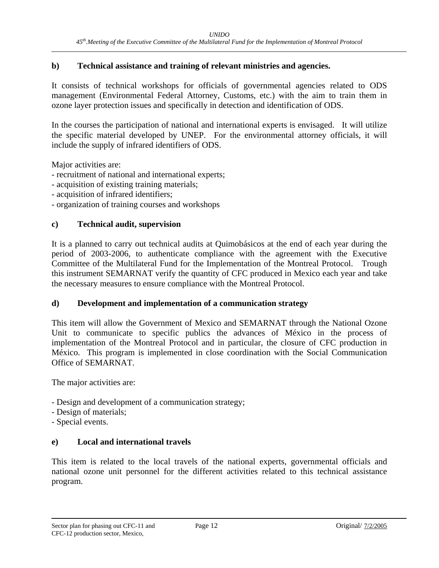#### **b) Technical assistance and training of relevant ministries and agencies.**

It consists of technical workshops for officials of governmental agencies related to ODS management (Environmental Federal Attorney, Customs, etc.) with the aim to train them in ozone layer protection issues and specifically in detection and identification of ODS.

In the courses the participation of national and international experts is envisaged. It will utilize the specific material developed by UNEP. For the environmental attorney officials, it will include the supply of infrared identifiers of ODS.

Major activities are:

- recruitment of national and international experts;
- acquisition of existing training materials;
- acquisition of infrared identifiers;
- organization of training courses and workshops

#### **c) Technical audit, supervision**

It is a planned to carry out technical audits at Quimobásicos at the end of each year during the period of 2003-2006, to authenticate compliance with the agreement with the Executive Committee of the Multilateral Fund for the Implementation of the Montreal Protocol. Trough this instrument SEMARNAT verify the quantity of CFC produced in Mexico each year and take the necessary measures to ensure compliance with the Montreal Protocol.

#### **d) Development and implementation of a communication strategy**

This item will allow the Government of Mexico and SEMARNAT through the National Ozone Unit to communicate to specific publics the advances of México in the process of implementation of the Montreal Protocol and in particular, the closure of CFC production in México. This program is implemented in close coordination with the Social Communication Office of SEMARNAT.

The major activities are:

- Design and development of a communication strategy;
- Design of materials;
- Special events.

#### **e) Local and international travels**

This item is related to the local travels of the national experts, governmental officials and national ozone unit personnel for the different activities related to this technical assistance program.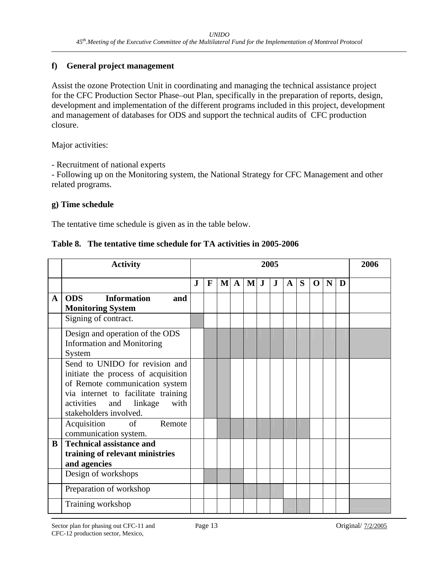#### **f) General project management**

Assist the ozone Protection Unit in coordinating and managing the technical assistance project for the CFC Production Sector Phase–out Plan, specifically in the preparation of reports, design, development and implementation of the different programs included in this project, development and management of databases for ODS and support the technical audits of CFC production closure.

Major activities:

- Recruitment of national experts

- Following up on the Monitoring system, the National Strategy for CFC Management and other related programs.

#### **g) Time schedule**

The tentative time schedule is given as in the table below.

| Table 8. The tentative time schedule for TA activities in 2005-2006 |  |  |
|---------------------------------------------------------------------|--|--|
|                                                                     |  |  |

|   | <b>Activity</b>                         |   | 2005        |  |          |                |  |         | 2006         |   |             |   |   |  |
|---|-----------------------------------------|---|-------------|--|----------|----------------|--|---------|--------------|---|-------------|---|---|--|
|   |                                         | J | $\mathbf F$ |  | $M \, A$ | $\mathbf{M}$ J |  | $\bf J$ | $\mathbf{A}$ | S | $\mathbf 0$ | N | D |  |
| A | <b>Information</b><br><b>ODS</b><br>and |   |             |  |          |                |  |         |              |   |             |   |   |  |
|   | <b>Monitoring System</b>                |   |             |  |          |                |  |         |              |   |             |   |   |  |
|   | Signing of contract.                    |   |             |  |          |                |  |         |              |   |             |   |   |  |
|   | Design and operation of the ODS         |   |             |  |          |                |  |         |              |   |             |   |   |  |
|   | <b>Information and Monitoring</b>       |   |             |  |          |                |  |         |              |   |             |   |   |  |
|   | System                                  |   |             |  |          |                |  |         |              |   |             |   |   |  |
|   | Send to UNIDO for revision and          |   |             |  |          |                |  |         |              |   |             |   |   |  |
|   | initiate the process of acquisition     |   |             |  |          |                |  |         |              |   |             |   |   |  |
|   | of Remote communication system          |   |             |  |          |                |  |         |              |   |             |   |   |  |
|   | via internet to facilitate training     |   |             |  |          |                |  |         |              |   |             |   |   |  |
|   | activities and linkage<br>with          |   |             |  |          |                |  |         |              |   |             |   |   |  |
|   | stakeholders involved.                  |   |             |  |          |                |  |         |              |   |             |   |   |  |
|   | of<br>Acquisition<br>Remote             |   |             |  |          |                |  |         |              |   |             |   |   |  |
|   | communication system.                   |   |             |  |          |                |  |         |              |   |             |   |   |  |
| B | <b>Technical assistance and</b>         |   |             |  |          |                |  |         |              |   |             |   |   |  |
|   | training of relevant ministries         |   |             |  |          |                |  |         |              |   |             |   |   |  |
|   | and agencies                            |   |             |  |          |                |  |         |              |   |             |   |   |  |
|   | Design of workshops                     |   |             |  |          |                |  |         |              |   |             |   |   |  |
|   | Preparation of workshop                 |   |             |  |          |                |  |         |              |   |             |   |   |  |
|   | Training workshop                       |   |             |  |          |                |  |         |              |   |             |   |   |  |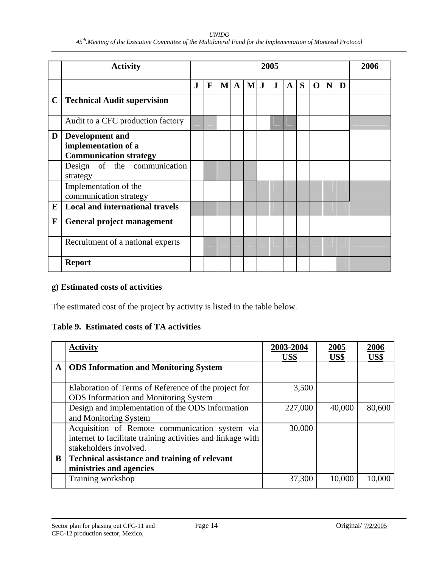#### *UNIDO 45th.Meeting of the Executive Committee of the Multilateral Fund for the Implementation of Montreal Protocol*

|             | <b>Activity</b>                                                                |              | 2005        |              |              |        |  | 2006    |              |   |             |   |   |  |
|-------------|--------------------------------------------------------------------------------|--------------|-------------|--------------|--------------|--------|--|---------|--------------|---|-------------|---|---|--|
|             |                                                                                | $\mathbf{J}$ | $\mathbf F$ | $\mathbf{M}$ | $\mathbf{A}$ | $Ml$ J |  | $\bf J$ | $\mathbf{A}$ | S | $\mathbf 0$ | N | D |  |
| $\mathbf C$ | <b>Technical Audit supervision</b>                                             |              |             |              |              |        |  |         |              |   |             |   |   |  |
|             | Audit to a CFC production factory                                              |              |             |              |              |        |  |         |              |   |             |   |   |  |
| D           | <b>Development and</b><br>implementation of a<br><b>Communication strategy</b> |              |             |              |              |        |  |         |              |   |             |   |   |  |
|             | Design of the communication<br>strategy                                        |              |             |              |              |        |  |         |              |   |             |   |   |  |
|             | Implementation of the<br>communication strategy                                |              |             |              |              |        |  |         |              |   |             |   |   |  |
| E           | <b>Local and international travels</b>                                         |              |             |              |              |        |  |         |              |   |             |   |   |  |
| $\mathbf F$ | General project management                                                     |              |             |              |              |        |  |         |              |   |             |   |   |  |
|             | Recruitment of a national experts                                              |              |             |              |              |        |  |         |              |   |             |   |   |  |
|             | <b>Report</b>                                                                  |              |             |              |              |        |  |         |              |   |             |   |   |  |

#### **g) Estimated costs of activities**

The estimated cost of the project by activity is listed in the table below.

#### **Table 9. Estimated costs of TA activities**

|   | <b>Activity</b>                                             | 2003-2004 | <u>2005</u> | 2006   |
|---|-------------------------------------------------------------|-----------|-------------|--------|
|   |                                                             | US\$      | US\$        | US\$   |
| A | <b>ODS</b> Information and Monitoring System                |           |             |        |
|   |                                                             |           |             |        |
|   | Elaboration of Terms of Reference of the project for        | 3,500     |             |        |
|   | <b>ODS</b> Information and Monitoring System                |           |             |        |
|   | Design and implementation of the ODS Information            | 227,000   | 40,000      | 80,600 |
|   | and Monitoring System                                       |           |             |        |
|   | Acquisition of Remote communication system via              | 30,000    |             |        |
|   | internet to facilitate training activities and linkage with |           |             |        |
|   | stakeholders involved.                                      |           |             |        |
| B | <b>Technical assistance and training of relevant</b>        |           |             |        |
|   | ministries and agencies                                     |           |             |        |
|   | Training workshop                                           | 37,300    | 10,000      | 10,000 |
|   |                                                             |           |             |        |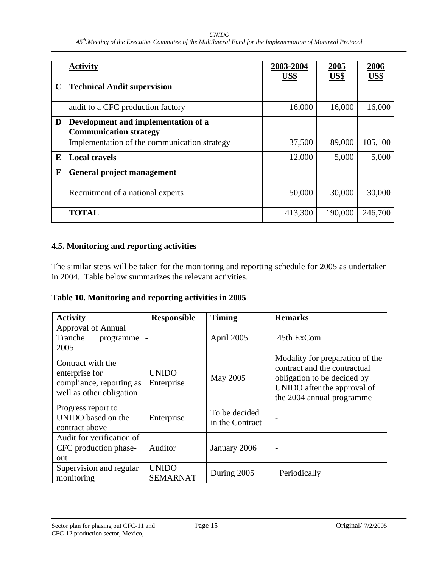#### *UNIDO*

|             | <b>Activity</b>                                                      | 2003-2004<br>US\$ | 2005<br>US\$ | 2006<br>US\$ |
|-------------|----------------------------------------------------------------------|-------------------|--------------|--------------|
| $\mathbf C$ | <b>Technical Audit supervision</b>                                   |                   |              |              |
|             | audit to a CFC production factory                                    | 16,000            | 16,000       | 16,000       |
| D           | Development and implementation of a<br><b>Communication strategy</b> |                   |              |              |
|             | Implementation of the communication strategy                         | 37,500            | 89,000       | 105,100      |
| E           | <b>Local travels</b>                                                 | 12,000            | 5,000        | 5,000        |
| F           | General project management                                           |                   |              |              |
|             | Recruitment of a national experts                                    | 50,000            | 30,000       | 30,000       |
|             | <b>TOTAL</b>                                                         | 413,300           | 190,000      | 246,700      |

#### **4.5. Monitoring and reporting activities**

The similar steps will be taken for the monitoring and reporting schedule for 2005 as undertaken in 2004. Table below summarizes the relevant activities.

**Table 10. Monitoring and reporting activities in 2005** 

| <b>Activity</b>                                                                             | <b>Responsible</b>              | <b>Timing</b>                    | <b>Remarks</b>                                                                                                                                             |
|---------------------------------------------------------------------------------------------|---------------------------------|----------------------------------|------------------------------------------------------------------------------------------------------------------------------------------------------------|
| Approval of Annual<br>Tranche<br>programme<br>2005                                          |                                 | April 2005                       | 45th ExCom                                                                                                                                                 |
| Contract with the<br>enterprise for<br>compliance, reporting as<br>well as other obligation | <b>UNIDO</b><br>Enterprise      | May 2005                         | Modality for preparation of the<br>contract and the contractual<br>obligation to be decided by<br>UNIDO after the approval of<br>the 2004 annual programme |
| Progress report to<br>UNIDO based on the<br>contract above                                  | Enterprise                      | To be decided<br>in the Contract |                                                                                                                                                            |
| Audit for verification of<br>CFC production phase-<br>out                                   | Auditor                         | January 2006                     |                                                                                                                                                            |
| Supervision and regular<br>monitoring                                                       | <b>UNIDO</b><br><b>SEMARNAT</b> | During 2005                      | Periodically                                                                                                                                               |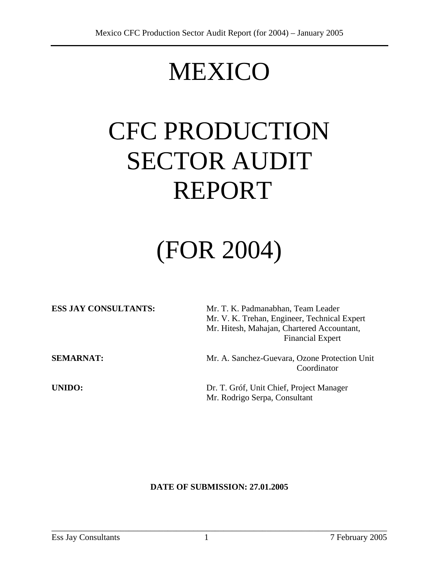## MEXICO

# CFC PRODUCTION SECTOR AUDIT REPORT

## (FOR 2004)

| <b>ESS JAY CONSULTANTS:</b> | Mr. T. K. Padmanabhan, Team Leader                           |
|-----------------------------|--------------------------------------------------------------|
|                             | Mr. V. K. Trehan, Engineer, Technical Expert                 |
|                             | Mr. Hitesh, Mahajan, Chartered Accountant,                   |
|                             | <b>Financial Expert</b>                                      |
| <b>SEMARNAT:</b>            | Mr. A. Sanchez-Guevara, Ozone Protection Unit<br>Coordinator |
| UNIDO:                      | Dr. T. Gróf, Unit Chief, Project Manager                     |
|                             | Mr. Rodrigo Serpa, Consultant                                |

#### **DATE OF SUBMISSION: 27.01.2005**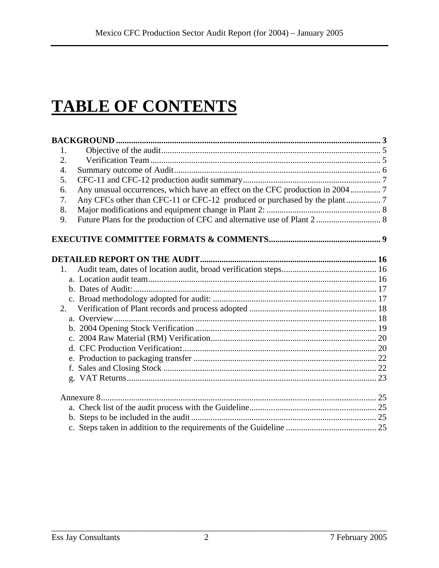### **TABLE OF CONTENTS**

| 1.          |  |
|-------------|--|
| 2.          |  |
| 4.          |  |
| 5.          |  |
| 6.          |  |
| 7.          |  |
| 8.          |  |
| 9.          |  |
|             |  |
|             |  |
| $1_{\cdot}$ |  |
|             |  |
|             |  |
|             |  |
| 2.          |  |
|             |  |
|             |  |
|             |  |
|             |  |
|             |  |
|             |  |
|             |  |
|             |  |
|             |  |
|             |  |
|             |  |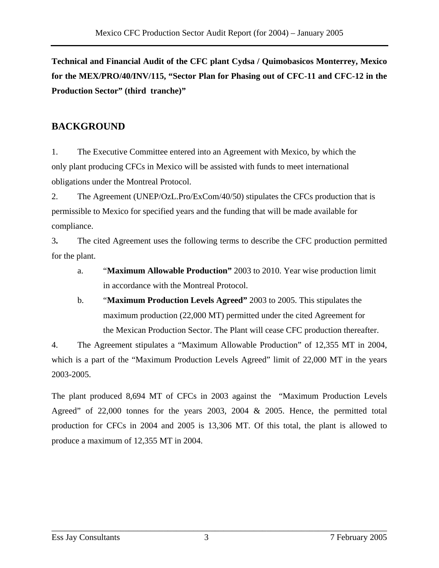**Technical and Financial Audit of the CFC plant Cydsa / Quimobasicos Monterrey, Mexico for the MEX/PRO/40/INV/115, "Sector Plan for Phasing out of CFC-11 and CFC-12 in the Production Sector" (third tranche)"** 

### **BACKGROUND**

1. The Executive Committee entered into an Agreement with Mexico, by which the only plant producing CFCs in Mexico will be assisted with funds to meet international obligations under the Montreal Protocol.

2. The Agreement (UNEP/OzL.Pro/ExCom/40/50) stipulates the CFCs production that is permissible to Mexico for specified years and the funding that will be made available for compliance.

3**.** The cited Agreement uses the following terms to describe the CFC production permitted for the plant.

- a. "**Maximum Allowable Production"** 2003 to 2010. Year wise production limit in accordance with the Montreal Protocol.
- b. "**Maximum Production Levels Agreed"** 2003 to 2005. This stipulates the maximum production (22,000 MT) permitted under the cited Agreement for the Mexican Production Sector. The Plant will cease CFC production thereafter.

4. The Agreement stipulates a "Maximum Allowable Production" of 12,355 MT in 2004, which is a part of the "Maximum Production Levels Agreed" limit of 22,000 MT in the years 2003-2005.

The plant produced 8,694 MT of CFCs in 2003 against the "Maximum Production Levels Agreed" of 22,000 tonnes for the years 2003, 2004 & 2005. Hence, the permitted total production for CFCs in 2004 and 2005 is 13,306 MT. Of this total, the plant is allowed to produce a maximum of 12,355 MT in 2004.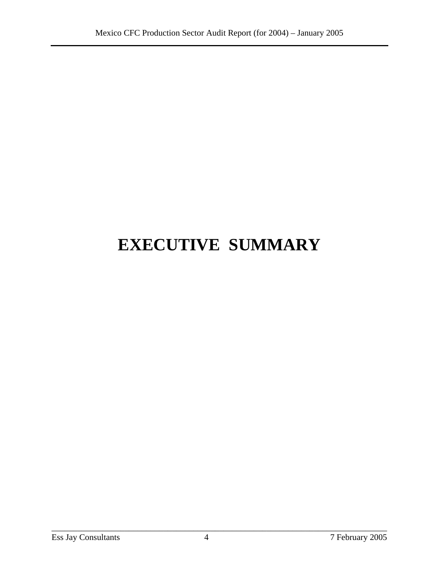## **EXECUTIVE SUMMARY**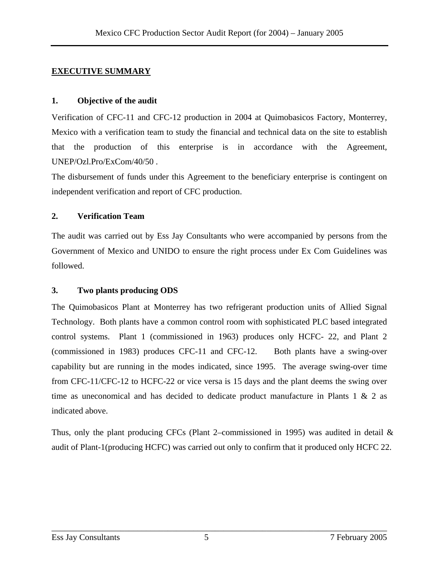#### **EXECUTIVE SUMMARY**

#### **1. Objective of the audit**

Verification of CFC-11 and CFC-12 production in 2004 at Quimobasicos Factory, Monterrey, Mexico with a verification team to study the financial and technical data on the site to establish that the production of this enterprise is in accordance with the Agreement, UNEP/Ozl.Pro/ExCom/40/50 .

The disbursement of funds under this Agreement to the beneficiary enterprise is contingent on independent verification and report of CFC production.

#### **2. Verification Team**

The audit was carried out by Ess Jay Consultants who were accompanied by persons from the Government of Mexico and UNIDO to ensure the right process under Ex Com Guidelines was followed.

#### **3. Two plants producing ODS**

The Quimobasicos Plant at Monterrey has two refrigerant production units of Allied Signal Technology. Both plants have a common control room with sophisticated PLC based integrated control systems. Plant 1 (commissioned in 1963) produces only HCFC- 22, and Plant 2 (commissioned in 1983) produces CFC-11 and CFC-12. Both plants have a swing-over capability but are running in the modes indicated, since 1995. The average swing-over time from CFC-11/CFC-12 to HCFC-22 or vice versa is 15 days and the plant deems the swing over time as uneconomical and has decided to dedicate product manufacture in Plants 1 & 2 as indicated above.

Thus, only the plant producing CFCs (Plant 2–commissioned in 1995) was audited in detail  $\&$ audit of Plant-1(producing HCFC) was carried out only to confirm that it produced only HCFC 22.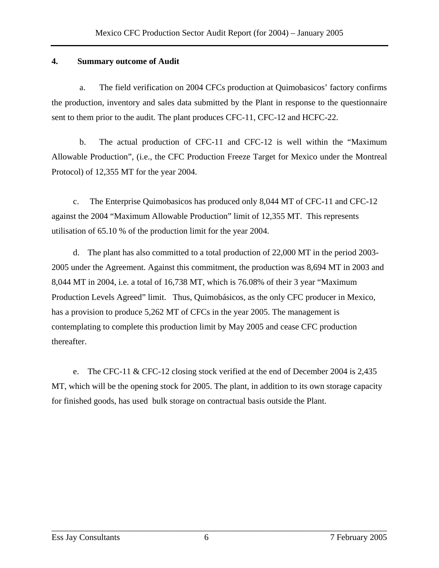#### **4. Summary outcome of Audit**

 a. The field verification on 2004 CFCs production at Quimobasicos' factory confirms the production, inventory and sales data submitted by the Plant in response to the questionnaire sent to them prior to the audit. The plant produces CFC-11, CFC-12 and HCFC-22.

 b. The actual production of CFC-11 and CFC-12 is well within the "Maximum Allowable Production", (i.e., the CFC Production Freeze Target for Mexico under the Montreal Protocol) of 12,355 MT for the year 2004.

c. The Enterprise Quimobasicos has produced only 8,044 MT of CFC-11 and CFC-12 against the 2004 "Maximum Allowable Production" limit of 12,355 MT. This represents utilisation of 65.10 % of the production limit for the year 2004.

d. The plant has also committed to a total production of 22,000 MT in the period 2003- 2005 under the Agreement. Against this commitment, the production was 8,694 MT in 2003 and 8,044 MT in 2004, i.e. a total of 16,738 MT, which is 76.08% of their 3 year "Maximum Production Levels Agreed" limit. Thus, Quimobásicos, as the only CFC producer in Mexico, has a provision to produce 5,262 MT of CFCs in the year 2005. The management is contemplating to complete this production limit by May 2005 and cease CFC production thereafter.

e. The CFC-11 & CFC-12 closing stock verified at the end of December 2004 is 2,435 MT, which will be the opening stock for 2005. The plant, in addition to its own storage capacity for finished goods, has used bulk storage on contractual basis outside the Plant.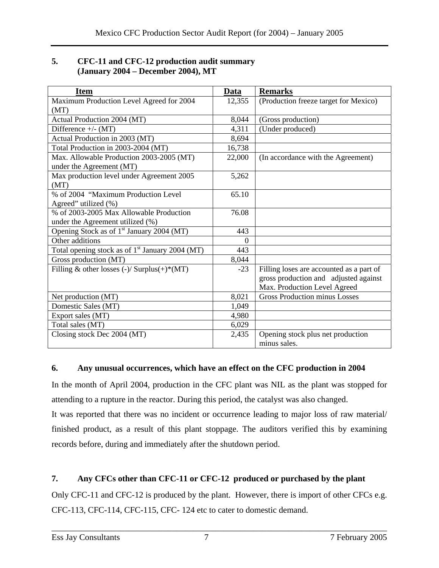#### **5. CFC-11 and CFC-12 production audit summary (January 2004 – December 2004), MT**

| <b>Item</b>                                                 | Data     | <b>Remarks</b>                           |
|-------------------------------------------------------------|----------|------------------------------------------|
| Maximum Production Level Agreed for 2004                    | 12,355   | (Production freeze target for Mexico)    |
| (MT)                                                        |          |                                          |
| Actual Production 2004 (MT)                                 | 8,044    | (Gross production)                       |
| Difference $+/- (MT)$                                       | 4,311    | (Under produced)                         |
| Actual Production in 2003 (MT)                              | 8,694    |                                          |
| Total Production in 2003-2004 (MT)                          | 16,738   |                                          |
| Max. Allowable Production 2003-2005 (MT)                    | 22,000   | (In accordance with the Agreement)       |
| under the Agreement (MT)                                    |          |                                          |
| Max production level under Agreement 2005                   | 5,262    |                                          |
| (MT)                                                        |          |                                          |
| % of 2004 "Maximum Production Level"                        | 65.10    |                                          |
| Agreed" utilized (%)                                        |          |                                          |
| % of 2003-2005 Max Allowable Production                     | 76.08    |                                          |
| under the Agreement utilized (%)                            |          |                                          |
| Opening Stock as of 1 <sup>st</sup> January 2004 (MT)       | 443      |                                          |
| Other additions                                             | $\Omega$ |                                          |
| Total opening stock as of 1 <sup>st</sup> January 2004 (MT) | 443      |                                          |
| Gross production (MT)                                       | 8,044    |                                          |
| Filling & other losses $(-)/$ Surplus $(+)^*(MT)$           | $-23$    | Filling loses are accounted as a part of |
|                                                             |          | gross production and adjusted against    |
|                                                             |          | Max. Production Level Agreed             |
| Net production (MT)                                         | 8,021    | <b>Gross Production minus Losses</b>     |
| Domestic Sales (MT)                                         | 1,049    |                                          |
| Export sales (MT)                                           | 4,980    |                                          |
| Total sales (MT)                                            | 6,029    |                                          |
| Closing stock Dec 2004 (MT)                                 | 2,435    | Opening stock plus net production        |
|                                                             |          | minus sales.                             |

#### **6. Any unusual occurrences, which have an effect on the CFC production in 2004**

In the month of April 2004, production in the CFC plant was NIL as the plant was stopped for attending to a rupture in the reactor. During this period, the catalyst was also changed.

It was reported that there was no incident or occurrence leading to major loss of raw material/ finished product, as a result of this plant stoppage. The auditors verified this by examining records before, during and immediately after the shutdown period.

#### **7. Any CFCs other than CFC-11 or CFC-12 produced or purchased by the plant**

Only CFC-11 and CFC-12 is produced by the plant. However, there is import of other CFCs e.g. CFC-113, CFC-114, CFC-115, CFC- 124 etc to cater to domestic demand.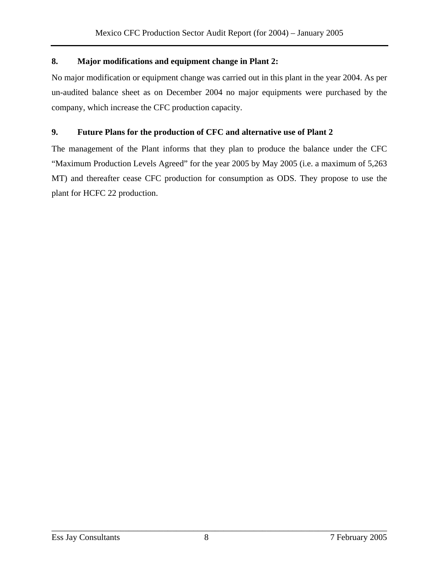#### **8. Major modifications and equipment change in Plant 2:**

No major modification or equipment change was carried out in this plant in the year 2004. As per un-audited balance sheet as on December 2004 no major equipments were purchased by the company, which increase the CFC production capacity.

#### **9. Future Plans for the production of CFC and alternative use of Plant 2**

The management of the Plant informs that they plan to produce the balance under the CFC "Maximum Production Levels Agreed" for the year 2005 by May 2005 (i.e. a maximum of 5,263 MT) and thereafter cease CFC production for consumption as ODS. They propose to use the plant for HCFC 22 production.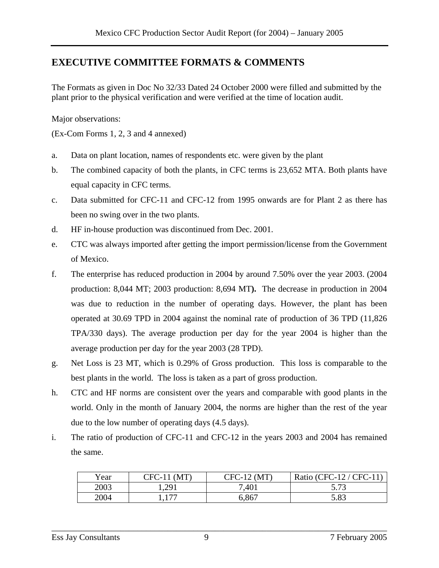#### **EXECUTIVE COMMITTEE FORMATS & COMMENTS**

The Formats as given in Doc No 32/33 Dated 24 October 2000 were filled and submitted by the plant prior to the physical verification and were verified at the time of location audit.

Major observations:

(Ex-Com Forms 1, 2, 3 and 4 annexed)

- a. Data on plant location, names of respondents etc. were given by the plant
- b. The combined capacity of both the plants, in CFC terms is 23,652 MTA. Both plants have equal capacity in CFC terms.
- c. Data submitted for CFC-11 and CFC-12 from 1995 onwards are for Plant 2 as there has been no swing over in the two plants.
- d. HF in-house production was discontinued from Dec. 2001.
- e. CTC was always imported after getting the import permission/license from the Government of Mexico.
- f. The enterprise has reduced production in 2004 by around 7.50% over the year 2003. (2004 production: 8,044 MT; 2003 production: 8,694 MT**).** The decrease in production in 2004 was due to reduction in the number of operating days. However, the plant has been operated at 30.69 TPD in 2004 against the nominal rate of production of 36 TPD (11,826 TPA/330 days). The average production per day for the year 2004 is higher than the average production per day for the year 2003 (28 TPD).
- g. Net Loss is 23 MT, which is 0.29% of Gross production. This loss is comparable to the best plants in the world. The loss is taken as a part of gross production.
- h. CTC and HF norms are consistent over the years and comparable with good plants in the world. Only in the month of January 2004, the norms are higher than the rest of the year due to the low number of operating days (4.5 days).
- i. The ratio of production of CFC-11 and CFC-12 in the years 2003 and 2004 has remained the same.

| Year | $CFC-1$<br>. MT      | $CFC-12$<br>(MT | Ratio (CFC-12 / CFC-1) |
|------|----------------------|-----------------|------------------------|
| 2003 | 1,291                | .401            | 5.73<br>ر ، ، ب        |
| 2004 | 1 <i>mm</i><br>1.1 / | 6,867           | 5.83                   |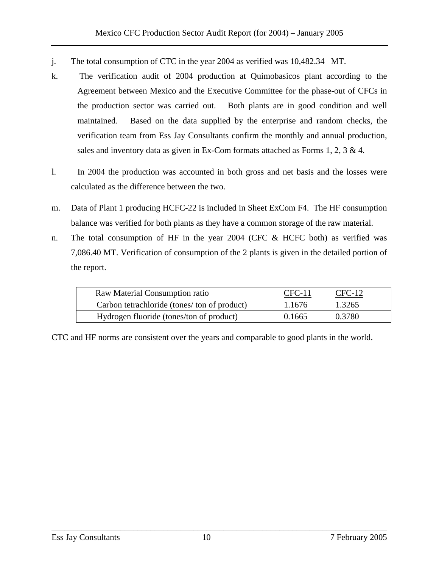- j. The total consumption of CTC in the year 2004 as verified was 10,482.34 MT.
- k. The verification audit of 2004 production at Quimobasicos plant according to the Agreement between Mexico and the Executive Committee for the phase-out of CFCs in the production sector was carried out. Both plants are in good condition and well maintained. Based on the data supplied by the enterprise and random checks, the verification team from Ess Jay Consultants confirm the monthly and annual production, sales and inventory data as given in Ex-Com formats attached as Forms 1, 2, 3 & 4.
- l. In 2004 the production was accounted in both gross and net basis and the losses were calculated as the difference between the two.
- m. Data of Plant 1 producing HCFC-22 is included in Sheet ExCom F4. The HF consumption balance was verified for both plants as they have a common storage of the raw material.
- n. The total consumption of HF in the year 2004 (CFC & HCFC both) as verified was 7,086.40 MT. Verification of consumption of the 2 plants is given in the detailed portion of the report.

| Raw Material Consumption ratio              | CFC-11 | $CFC-12$ |  |
|---------------------------------------------|--------|----------|--|
| Carbon tetrachloride (tones/ton of product) | 1.1676 | 1.3265   |  |
| Hydrogen fluoride (tones/ton of product)    | 0.1665 | 0.3780   |  |
|                                             |        |          |  |

CTC and HF norms are consistent over the years and comparable to good plants in the world.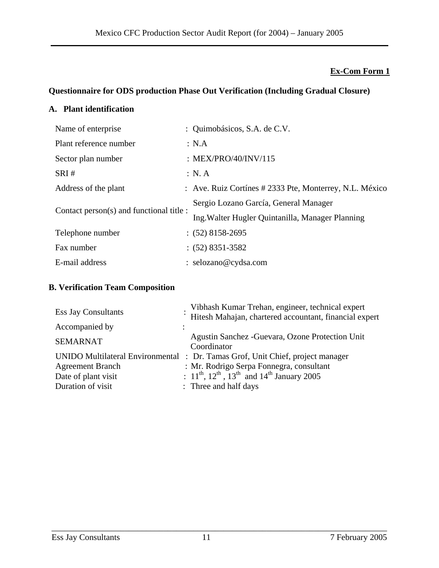#### **Ex-Com Form 1**

#### **Questionnaire for ODS production Phase Out Verification (Including Gradual Closure)**

#### **A. Plant identification**

| Name of enterprise                       | : Quimobásicos, S.A. de C.V.                            |
|------------------------------------------|---------------------------------------------------------|
| Plant reference number                   | : NA                                                    |
| Sector plan number                       | : $MEX/PRO/40/INV/115$                                  |
| SRI#                                     | : N.A                                                   |
| Address of the plant                     | : Ave. Ruiz Cortínes # 2333 Pte, Monterrey, N.L. México |
| Contact person(s) and functional title : | Sergio Lozano García, General Manager                   |
|                                          | Ing. Walter Hugler Quintanilla, Manager Planning        |
| Telephone number                         | $: (52)$ 8158-2695                                      |
| Fax number                               | $: (52) 8351 - 3582$                                    |
| E-mail address                           | : selozano@cydsa.com                                    |

#### **B. Verification Team Composition**

| <b>Ess Jay Consultants</b> | Vibhash Kumar Trehan, engineer, technical expert<br>Hitesh Mahajan, chartered accountant, financial expert                             |
|----------------------------|----------------------------------------------------------------------------------------------------------------------------------------|
| Accompanied by             |                                                                                                                                        |
| <b>SEMARNAT</b>            | Agustin Sanchez - Guevara, Ozone Protection Unit<br>Coordinator                                                                        |
|                            | UNIDO Multilateral Environmental : Dr. Tamas Grof, Unit Chief, project manager                                                         |
| <b>Agreement Branch</b>    | : Mr. Rodrigo Serpa Fonnegra, consultant<br>: $11^{\text{th}}$ , $12^{\text{th}}$ , $13^{\text{th}}$ and $14^{\text{th}}$ January 2005 |
| Date of plant visit        |                                                                                                                                        |
| Duration of visit          | : Three and half days                                                                                                                  |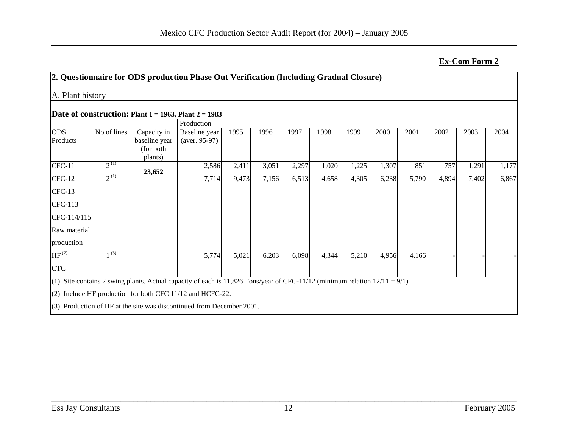**Ex-Com Form 2**

|                        |             | 2. Questionnaire for ODS production Phase Out Verification (Including Gradual Closure)                                       |                                  |       |       |       |       |       |       |       |       |       |       |
|------------------------|-------------|------------------------------------------------------------------------------------------------------------------------------|----------------------------------|-------|-------|-------|-------|-------|-------|-------|-------|-------|-------|
|                        |             |                                                                                                                              |                                  |       |       |       |       |       |       |       |       |       |       |
| A. Plant history       |             |                                                                                                                              |                                  |       |       |       |       |       |       |       |       |       |       |
|                        |             | Date of construction: Plant $1 = 1963$ , Plant $2 = 1983$                                                                    |                                  |       |       |       |       |       |       |       |       |       |       |
|                        |             |                                                                                                                              | Production                       |       |       |       |       |       |       |       |       |       |       |
| <b>ODS</b><br>Products | No of lines | Capacity in<br>baseline year<br>(for both<br>plants)                                                                         | Baseline year<br>$(aver. 95-97)$ | 1995  | 1996  | 1997  | 1998  | 1999  | 2000  | 2001  | 2002  | 2003  | 2004  |
| $CFC-11$               | $2^{(1)}$   | 23,652                                                                                                                       | 2,586                            | 2,411 | 3,051 | 2,297 | 1,020 | 1,225 | 1,307 | 851   | 757   | 1,291 | 1,177 |
| $CFC-12$               | $2^{(1)}$   |                                                                                                                              | 7,714                            | 9,473 | 7,156 | 6,513 | 4,658 | 4,305 | 6,238 | 5,790 | 4,894 | 7,402 | 6,867 |
| $CFC-13$               |             |                                                                                                                              |                                  |       |       |       |       |       |       |       |       |       |       |
| CFC-113                |             |                                                                                                                              |                                  |       |       |       |       |       |       |       |       |       |       |
| CFC-114/115            |             |                                                                                                                              |                                  |       |       |       |       |       |       |       |       |       |       |
| Raw material           |             |                                                                                                                              |                                  |       |       |       |       |       |       |       |       |       |       |
| production             |             |                                                                                                                              |                                  |       |       |       |       |       |       |       |       |       |       |
| HF <sup>(2)</sup>      | $1^{(3)}$   |                                                                                                                              | 5,774                            | 5,021 | 6,203 | 6,098 | 4,344 | 5,210 | 4,956 | 4,166 |       |       |       |
| <b>CTC</b>             |             |                                                                                                                              |                                  |       |       |       |       |       |       |       |       |       |       |
|                        |             | (1) Site contains 2 swing plants. Actual capacity of each is 11,826 Tons/year of CFC-11/12 (minimum relation $12/11 = 9/1$ ) |                                  |       |       |       |       |       |       |       |       |       |       |
|                        |             | $(2)$ Include HF production for both CFC 11/12 and HCFC-22.                                                                  |                                  |       |       |       |       |       |       |       |       |       |       |
|                        |             | (3) Production of HF at the site was discontinued from December 2001.                                                        |                                  |       |       |       |       |       |       |       |       |       |       |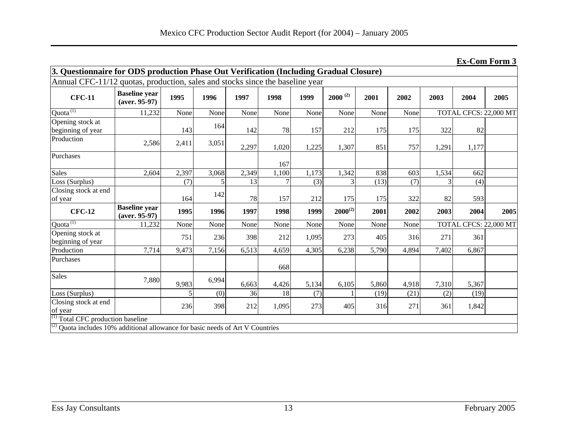**Ex-Com Form 3**

|                                                                               | 3. Questionnaire for ODS production Phase Out Verification (Including Gradual Closure) |       |       |       |       |       |              |       |       |       |                       |      |
|-------------------------------------------------------------------------------|----------------------------------------------------------------------------------------|-------|-------|-------|-------|-------|--------------|-------|-------|-------|-----------------------|------|
| Annual CFC-11/12 quotas, production, sales and stocks since the baseline year |                                                                                        |       |       |       |       |       |              |       |       |       |                       |      |
| <b>CFC-11</b>                                                                 | <b>Baseline</b> year<br>$(aver. 95-97)$                                                | 1995  | 1996  | 1997  | 1998  | 1999  | $2000^{(2)}$ | 2001  | 2002  | 2003  | 2004                  | 2005 |
| Quota <sup>(1)</sup>                                                          | 11,232                                                                                 | None  | None  | None  | None  | None  | None         | None  | None  |       | TOTAL CFCS: 22,000 MT |      |
| Opening stock at<br>beginning of year                                         |                                                                                        | 143   | 164   | 142   | 78    | 157   | 212          | 175   | 175   | 322   | 82                    |      |
| Production                                                                    | 2,586                                                                                  | 2,411 | 3,051 | 2,297 | 1,020 | 1,225 | 1,307        | 851   | 757   | 1,291 | 1,177                 |      |
| Purchases                                                                     |                                                                                        |       |       |       | 167   |       |              |       |       |       |                       |      |
| <b>Sales</b>                                                                  | 2,604                                                                                  | 2,397 | 3,068 | 2,349 | 1,100 | 1,173 | 1,342        | 838   | 603   | 1,534 | 662                   |      |
| Loss (Surplus)                                                                |                                                                                        | (7)   | 5     | 13    |       | (3)   | 3            | (13)  | (7)   |       | (4)                   |      |
| Closing stock at end<br>of year                                               |                                                                                        | 164   | 142   | 78    | 157   | 212   | 175          | 175   | 322   | 82    | 593                   |      |
| <b>CFC-12</b>                                                                 | <b>Baseline</b> year<br>$(aver. 95-97)$                                                | 1995  | 1996  | 1997  | 1998  | 1999  | $2000^{(2)}$ | 2001  | 2002  | 2003  | 2004                  | 2005 |
| Quota <sup>(1)</sup>                                                          | 11,232                                                                                 | None  | None  | None  | None  | None  | None         | None  | None  |       | TOTAL CFCS: 22,000 MT |      |
| Opening stock at<br>beginning of year                                         |                                                                                        | 751   | 236   | 398   | 212   | 1,095 | 273          | 405   | 316   | 271   | 361                   |      |
| Production                                                                    | 7,714                                                                                  | 9,473 | 7,156 | 6,513 | 4,659 | 4,305 | 6,238        | 5,790 | 4,894 | 7,402 | 6,867                 |      |
| Purchases                                                                     |                                                                                        |       |       |       | 668   |       |              |       |       |       |                       |      |
| <b>Sales</b>                                                                  | 7,880                                                                                  | 9,983 | 6,994 | 6,663 | 4,426 | 5,134 | 6,105        | 5,860 | 4,918 | 7,310 | 5,367                 |      |
| Loss (Surplus)                                                                |                                                                                        |       | (0)   | 36    | 18    | (7)   |              | (19)  | (21)  | (2)   | (19)                  |      |
| Closing stock at end<br>of year                                               |                                                                                        | 236   | 398   | 212   | 1,095 | 273   | 405          | 316   | 271   | 361   | 1,842                 |      |
| $(1)$ Total CFC production baseline                                           |                                                                                        |       |       |       |       |       |              |       |       |       |                       |      |
|                                                                               | $^{(2)}$ Quota includes 10% additional allowance for basic needs of Art V Countries    |       |       |       |       |       |              |       |       |       |                       |      |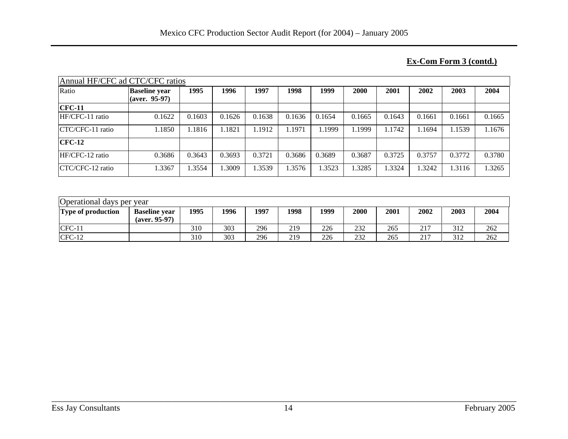#### **Ex-Com Form 3 (contd.)**

| Annual HF/CFC ad CTC/CFC ratios |                                                |        |        |        |        |        |        |        |        |        |        |
|---------------------------------|------------------------------------------------|--------|--------|--------|--------|--------|--------|--------|--------|--------|--------|
| Ratio                           | <b>Baseline year</b><br>$\alpha$ (aver. 95-97) | 1995   | 1996   | 1997   | 1998   | 1999   | 2000   | 2001   | 2002   | 2003   | 2004   |
| $CFC-11$                        |                                                |        |        |        |        |        |        |        |        |        |        |
| HF/CFC-11 ratio                 | 0.1622                                         | 0.1603 | 0.1626 | 0.1638 | 0.1636 | 0.1654 | 0.1665 | 0.1643 | 0.1661 | 0.1661 | 0.1665 |
| CTC/CFC-11 ratio                | 1.1850                                         | 1.1816 | 1.1821 | .1912  | 1.1971 | 1.1999 | 1.1999 | 1.1742 | 1.1694 | 1.1539 | 1.1676 |
| $CFC-12$                        |                                                |        |        |        |        |        |        |        |        |        |        |
| HF/CFC-12 ratio                 | 0.3686                                         | 0.3643 | 0.3693 | 0.3721 | 0.3686 | 0.3689 | 0.3687 | 0.3725 | 0.3757 | 0.3772 | 0.3780 |
| CTC/CFC-12 ratio                | 1.3367                                         | 1.3554 | 1.3009 | .3539  | 1.3576 | .3523  | 1.3285 | 1.3324 | 1.3242 | 1.3116 | 1.3265 |

| Operational days per year |                                         |      |      |      |      |      |      |      |      |      |      |
|---------------------------|-----------------------------------------|------|------|------|------|------|------|------|------|------|------|
| <b>Type of production</b> | <b>Baseline year</b><br>$(aver. 95-97)$ | 1995 | 1996 | 1997 | 1998 | 1999 | 2000 | 2001 | 2002 | 2003 | 2004 |
| $CFC-11$                  |                                         | 310  | 303  | 296  | 219  | 226  | 232  | 265  | 217  | 312  | 262  |
| $CFC-12$                  |                                         | 310  | 303  | 296  | 219  | 226  | 232  | 265  | 217  | 312  | 262  |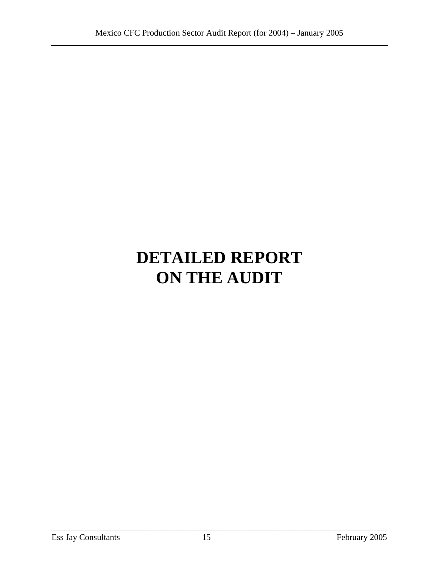## **DETAILED REPORT ON THE AUDIT**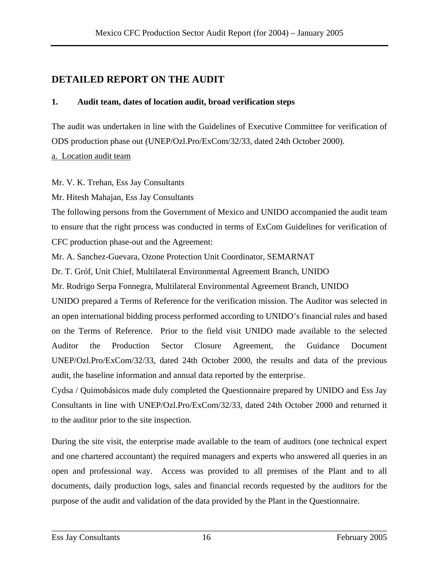### **DETAILED REPORT ON THE AUDIT**

#### **1. Audit team, dates of location audit, broad verification steps**

The audit was undertaken in line with the Guidelines of Executive Committee for verification of ODS production phase out (UNEP/Ozl.Pro/ExCom/32/33, dated 24th October 2000).

a. Location audit team

Mr. V. K. Trehan, Ess Jay Consultants

Mr. Hitesh Mahajan, Ess Jay Consultants

The following persons from the Government of Mexico and UNIDO accompanied the audit team to ensure that the right process was conducted in terms of ExCom Guidelines for verification of CFC production phase-out and the Agreement:

Mr. A. Sanchez-Guevara, Ozone Protection Unit Coordinator, SEMARNAT

Dr. T. Gróf, Unit Chief, Multilateral Environmental Agreement Branch, UNIDO

Mr. Rodrigo Serpa Fonnegra, Multilateral Environmental Agreement Branch, UNIDO

UNIDO prepared a Terms of Reference for the verification mission. The Auditor was selected in an open international bidding process performed according to UNIDO's financial rules and based on the Terms of Reference. Prior to the field visit UNIDO made available to the selected Auditor the Production Sector Closure Agreement, the Guidance Document UNEP/Ozl.Pro/ExCom/32/33, dated 24th October 2000, the results and data of the previous audit, the baseline information and annual data reported by the enterprise.

Cydsa / Quimobásicos made duly completed the Questionnaire prepared by UNIDO and Ess Jay Consultants in line with UNEP/Ozl.Pro/ExCom/32/33, dated 24th October 2000 and returned it to the auditor prior to the site inspection.

During the site visit, the enterprise made available to the team of auditors (one technical expert and one chartered accountant) the required managers and experts who answered all queries in an open and professional way. Access was provided to all premises of the Plant and to all documents, daily production logs, sales and financial records requested by the auditors for the purpose of the audit and validation of the data provided by the Plant in the Questionnaire.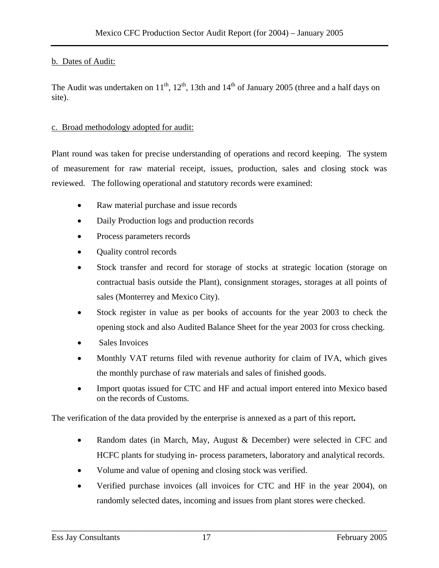#### b. Dates of Audit:

The Audit was undertaken on  $11^{th}$ ,  $12^{th}$ , 13th and  $14^{th}$  of January 2005 (three and a half days on site).

#### c. Broad methodology adopted for audit:

Plant round was taken for precise understanding of operations and record keeping. The system of measurement for raw material receipt, issues, production, sales and closing stock was reviewed. The following operational and statutory records were examined:

- Raw material purchase and issue records
- Daily Production logs and production records
- Process parameters records
- Quality control records
- Stock transfer and record for storage of stocks at strategic location (storage on contractual basis outside the Plant), consignment storages, storages at all points of sales (Monterrey and Mexico City).
- Stock register in value as per books of accounts for the year 2003 to check the opening stock and also Audited Balance Sheet for the year 2003 for cross checking.
- Sales Invoices
- Monthly VAT returns filed with revenue authority for claim of IVA, which gives the monthly purchase of raw materials and sales of finished goods.
- Import quotas issued for CTC and HF and actual import entered into Mexico based on the records of Customs.

The verification of the data provided by the enterprise is annexed as a part of this report**.** 

- Random dates (in March, May, August & December) were selected in CFC and HCFC plants for studying in- process parameters, laboratory and analytical records.
- Volume and value of opening and closing stock was verified.
- Verified purchase invoices (all invoices for CTC and HF in the year 2004), on randomly selected dates, incoming and issues from plant stores were checked.

\_\_\_\_\_\_\_\_\_\_\_\_\_\_\_\_\_\_\_\_\_\_\_\_\_\_\_\_\_\_\_\_\_\_\_\_\_\_\_\_\_\_\_\_\_\_\_\_\_\_\_\_\_\_\_\_\_\_\_\_\_\_\_\_\_\_\_\_\_\_\_\_\_\_\_\_\_\_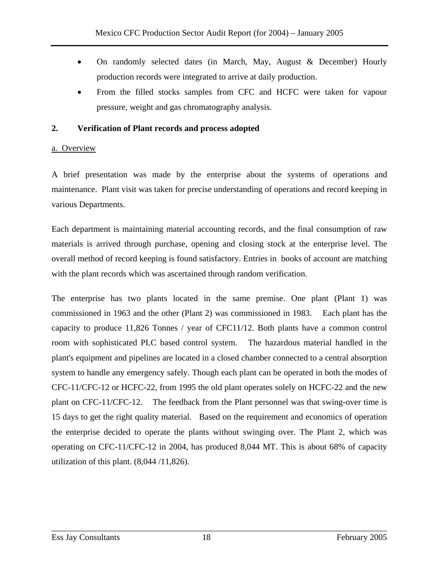- On randomly selected dates (in March, May, August & December) Hourly production records were integrated to arrive at daily production.
- From the filled stocks samples from CFC and HCFC were taken for vapour pressure, weight and gas chromatography analysis.

#### **2. Verification of Plant records and process adopted**

#### a. Overview

A brief presentation was made by the enterprise about the systems of operations and maintenance. Plant visit was taken for precise understanding of operations and record keeping in various Departments.

Each department is maintaining material accounting records, and the final consumption of raw materials is arrived through purchase, opening and closing stock at the enterprise level. The overall method of record keeping is found satisfactory. Entries in books of account are matching with the plant records which was ascertained through random verification.

The enterprise has two plants located in the same premise. One plant (Plant 1) was commissioned in 1963 and the other (Plant 2) was commissioned in 1983. Each plant has the capacity to produce 11,826 Tonnes / year of CFC11/12. Both plants have a common control room with sophisticated PLC based control system. The hazardous material handled in the plant's equipment and pipelines are located in a closed chamber connected to a central absorption system to handle any emergency safely. Though each plant can be operated in both the modes of CFC-11/CFC-12 or HCFC-22, from 1995 the old plant operates solely on HCFC-22 and the new plant on CFC-11/CFC-12. The feedback from the Plant personnel was that swing-over time is 15 days to get the right quality material. Based on the requirement and economics of operation the enterprise decided to operate the plants without swinging over. The Plant 2, which was operating on CFC-11/CFC-12 in 2004, has produced 8,044 MT. This is about 68% of capacity utilization of this plant. (8,044 /11,826).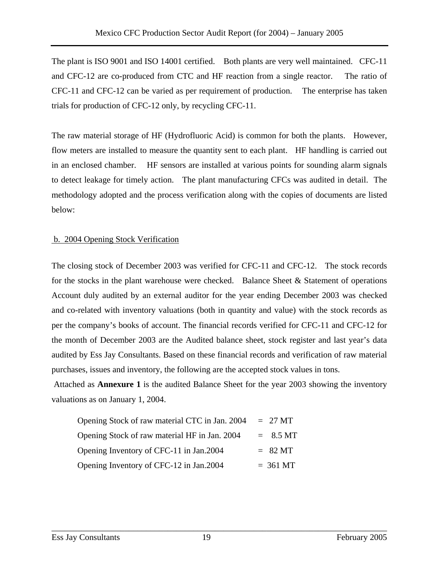The plant is ISO 9001 and ISO 14001 certified. Both plants are very well maintained. CFC-11 and CFC-12 are co-produced from CTC and HF reaction from a single reactor. The ratio of CFC-11 and CFC-12 can be varied as per requirement of production. The enterprise has taken trials for production of CFC-12 only, by recycling CFC-11.

The raw material storage of HF (Hydrofluoric Acid) is common for both the plants. However, flow meters are installed to measure the quantity sent to each plant. HF handling is carried out in an enclosed chamber. HF sensors are installed at various points for sounding alarm signals to detect leakage for timely action. The plant manufacturing CFCs was audited in detail. The methodology adopted and the process verification along with the copies of documents are listed below:

#### b. 2004 Opening Stock Verification

The closing stock of December 2003 was verified for CFC-11 and CFC-12. The stock records for the stocks in the plant warehouse were checked. Balance Sheet & Statement of operations Account duly audited by an external auditor for the year ending December 2003 was checked and co-related with inventory valuations (both in quantity and value) with the stock records as per the company's books of account. The financial records verified for CFC-11 and CFC-12 for the month of December 2003 are the Audited balance sheet, stock register and last year's data audited by Ess Jay Consultants. Based on these financial records and verification of raw material purchases, issues and inventory, the following are the accepted stock values in tons.

 Attached as **Annexure 1** is the audited Balance Sheet for the year 2003 showing the inventory valuations as on January 1, 2004.

| Opening Stock of raw material CTC in Jan. 2004 | $= 27 \text{ MT}$     |                     |
|------------------------------------------------|-----------------------|---------------------|
| Opening Stock of raw material HF in Jan. 2004  |                       | $= 8.5 \,\text{MT}$ |
| Opening Inventory of CFC-11 in Jan.2004        | $= 82 \text{ MT}$     |                     |
| Opening Inventory of CFC-12 in Jan.2004        | $= 361 \,\mathrm{MT}$ |                     |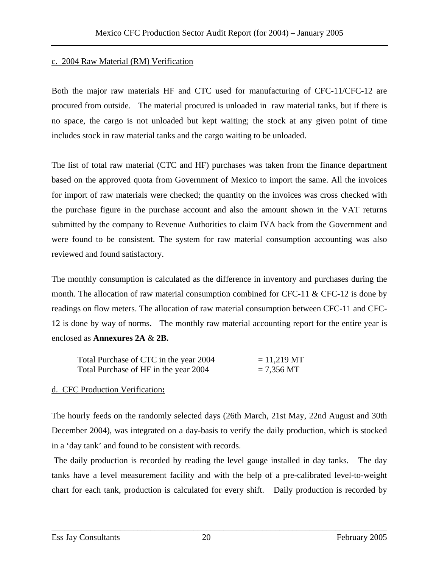#### c. 2004 Raw Material (RM) Verification

Both the major raw materials HF and CTC used for manufacturing of CFC-11/CFC-12 are procured from outside. The material procured is unloaded in raw material tanks, but if there is no space, the cargo is not unloaded but kept waiting; the stock at any given point of time includes stock in raw material tanks and the cargo waiting to be unloaded.

The list of total raw material (CTC and HF) purchases was taken from the finance department based on the approved quota from Government of Mexico to import the same. All the invoices for import of raw materials were checked; the quantity on the invoices was cross checked with the purchase figure in the purchase account and also the amount shown in the VAT returns submitted by the company to Revenue Authorities to claim IVA back from the Government and were found to be consistent. The system for raw material consumption accounting was also reviewed and found satisfactory.

The monthly consumption is calculated as the difference in inventory and purchases during the month. The allocation of raw material consumption combined for CFC-11  $\&$  CFC-12 is done by readings on flow meters. The allocation of raw material consumption between CFC-11 and CFC-12 is done by way of norms. The monthly raw material accounting report for the entire year is enclosed as **Annexures 2A** & **2B.** 

| Total Purchase of CTC in the year 2004 | $= 11,219 \text{ MT}$ |
|----------------------------------------|-----------------------|
| Total Purchase of HF in the year 2004  | $= 7,356$ MT          |

#### d. CFC Production Verification**:**

The hourly feeds on the randomly selected days (26th March, 21st May, 22nd August and 30th December 2004), was integrated on a day-basis to verify the daily production, which is stocked in a 'day tank' and found to be consistent with records.

 The daily production is recorded by reading the level gauge installed in day tanks. The day tanks have a level measurement facility and with the help of a pre-calibrated level-to-weight chart for each tank, production is calculated for every shift. Daily production is recorded by

\_\_\_\_\_\_\_\_\_\_\_\_\_\_\_\_\_\_\_\_\_\_\_\_\_\_\_\_\_\_\_\_\_\_\_\_\_\_\_\_\_\_\_\_\_\_\_\_\_\_\_\_\_\_\_\_\_\_\_\_\_\_\_\_\_\_\_\_\_\_\_\_\_\_\_\_\_\_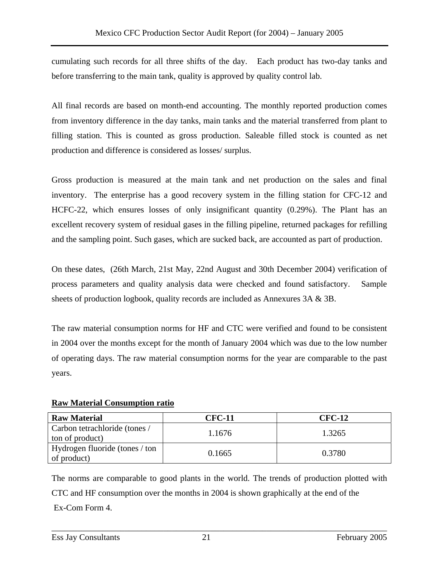cumulating such records for all three shifts of the day. Each product has two-day tanks and before transferring to the main tank, quality is approved by quality control lab.

All final records are based on month-end accounting. The monthly reported production comes from inventory difference in the day tanks, main tanks and the material transferred from plant to filling station. This is counted as gross production. Saleable filled stock is counted as net production and difference is considered as losses/ surplus.

Gross production is measured at the main tank and net production on the sales and final inventory. The enterprise has a good recovery system in the filling station for CFC-12 and HCFC-22, which ensures losses of only insignificant quantity (0.29%). The Plant has an excellent recovery system of residual gases in the filling pipeline, returned packages for refilling and the sampling point. Such gases, which are sucked back, are accounted as part of production.

On these dates, (26th March, 21st May, 22nd August and 30th December 2004) verification of process parameters and quality analysis data were checked and found satisfactory. Sample sheets of production logbook, quality records are included as Annexures 3A & 3B.

The raw material consumption norms for HF and CTC were verified and found to be consistent in 2004 over the months except for the month of January 2004 which was due to the low number of operating days. The raw material consumption norms for the year are comparable to the past years.

#### **Raw Material Consumption ratio**

| <b>Raw Material</b>                              | <b>CFC-11</b> | <b>CFC-12</b> |
|--------------------------------------------------|---------------|---------------|
| Carbon tetrachloride (tones /<br>ton of product) | 1.1676        | 1.3265        |
| Hydrogen fluoride (tones / ton<br>of product)    | 0.1665        | 0.3780        |

The norms are comparable to good plants in the world. The trends of production plotted with CTC and HF consumption over the months in 2004 is shown graphically at the end of the Ex-Com Form 4.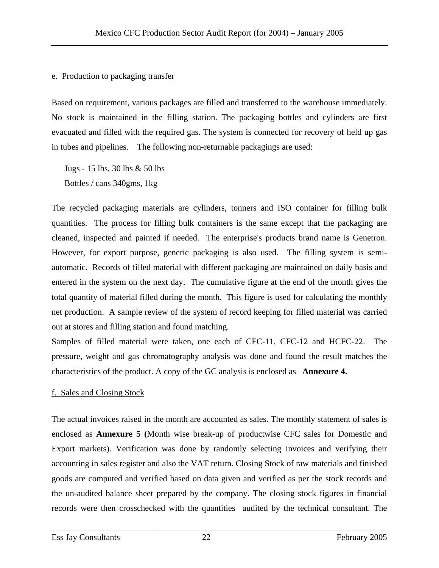#### e. Production to packaging transfer

Based on requirement, various packages are filled and transferred to the warehouse immediately. No stock is maintained in the filling station. The packaging bottles and cylinders are first evacuated and filled with the required gas. The system is connected for recovery of held up gas in tubes and pipelines. The following non-returnable packagings are used:

Jugs - 15 lbs, 30 lbs & 50 lbs Bottles / cans 340gms, 1kg

The recycled packaging materials are cylinders, tonners and ISO container for filling bulk quantities. The process for filling bulk containers is the same except that the packaging are cleaned, inspected and painted if needed. The enterprise's products brand name is Genetron. However, for export purpose, generic packaging is also used. The filling system is semiautomatic. Records of filled material with different packaging are maintained on daily basis and entered in the system on the next day. The cumulative figure at the end of the month gives the total quantity of material filled during the month. This figure is used for calculating the monthly net production. A sample review of the system of record keeping for filled material was carried out at stores and filling station and found matching.

Samples of filled material were taken, one each of CFC-11, CFC-12 and HCFC-22. The pressure, weight and gas chromatography analysis was done and found the result matches the characteristics of the product. A copy of the GC analysis is enclosed as **Annexure 4.** 

#### f. Sales and Closing Stock

The actual invoices raised in the month are accounted as sales. The monthly statement of sales is enclosed as **Annexure 5 (**Month wise break-up of productwise CFC sales for Domestic and Export markets). Verification was done by randomly selecting invoices and verifying their accounting in sales register and also the VAT return. Closing Stock of raw materials and finished goods are computed and verified based on data given and verified as per the stock records and the un-audited balance sheet prepared by the company. The closing stock figures in financial records were then crosschecked with the quantities audited by the technical consultant. The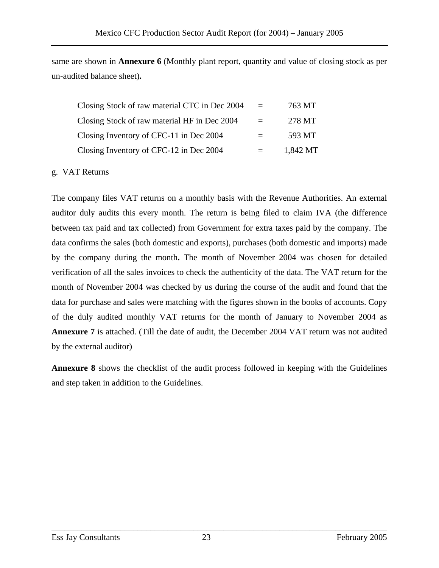same are shown in **Annexure 6** (Monthly plant report, quantity and value of closing stock as per un-audited balance sheet)**.** 

| Closing Stock of raw material CTC in Dec 2004 | $=$ | 763 MT   |
|-----------------------------------------------|-----|----------|
| Closing Stock of raw material HF in Dec 2004  |     | 278 MT   |
| Closing Inventory of CFC-11 in Dec 2004       |     | 593 MT   |
| Closing Inventory of CFC-12 in Dec 2004       |     | 1.842 MT |

#### g. VAT Returns

The company files VAT returns on a monthly basis with the Revenue Authorities. An external auditor duly audits this every month. The return is being filed to claim IVA (the difference between tax paid and tax collected) from Government for extra taxes paid by the company. The data confirms the sales (both domestic and exports), purchases (both domestic and imports) made by the company during the month**.** The month of November 2004 was chosen for detailed verification of all the sales invoices to check the authenticity of the data. The VAT return for the month of November 2004 was checked by us during the course of the audit and found that the data for purchase and sales were matching with the figures shown in the books of accounts. Copy of the duly audited monthly VAT returns for the month of January to November 2004 as **Annexure 7** is attached. (Till the date of audit, the December 2004 VAT return was not audited by the external auditor)

**Annexure 8** shows the checklist of the audit process followed in keeping with the Guidelines and step taken in addition to the Guidelines.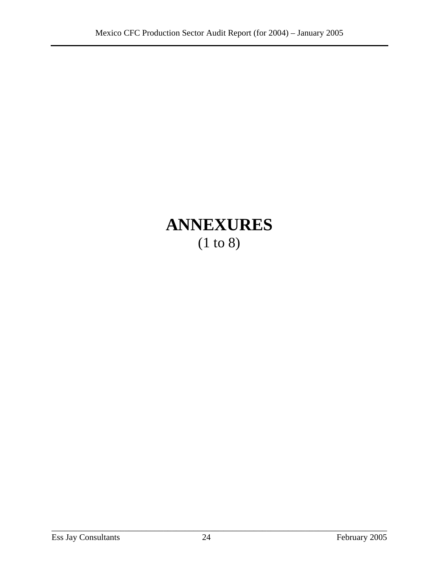### **ANNEXURES**  (1 to 8)